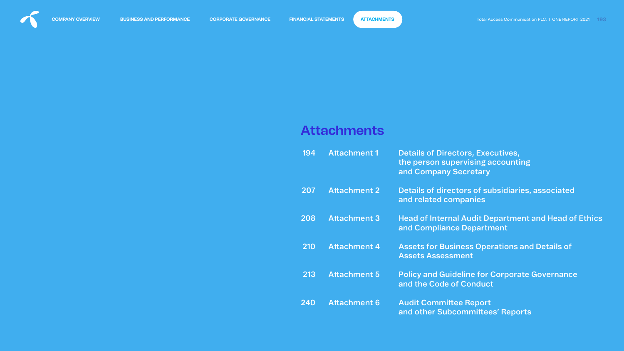# **Attachments**

| 194 | <b>Attachment 1</b> | <b>Details of Directors, Executives,</b><br>the person supervising accounting<br>and Company Secretary |
|-----|---------------------|--------------------------------------------------------------------------------------------------------|
| 207 | <b>Attachment 2</b> | Details of directors of subsidiaries, associated<br>and related companies                              |
| 208 | <b>Attachment 3</b> | <b>Head of Internal Audit Department and Head of Ethics</b><br>and Compliance Department               |
| 210 | <b>Attachment 4</b> | <b>Assets for Business Operations and Details of</b><br><b>Assets Assessment</b>                       |
| 213 | <b>Attachment 5</b> | <b>Policy and Guideline for Corporate Governance</b><br>and the Code of Conduct                        |
| 240 | <b>Attachment 6</b> | <b>Audit Committee Report</b><br>and other Subcommittees' Reports                                      |



<span id="page-0-0"></span>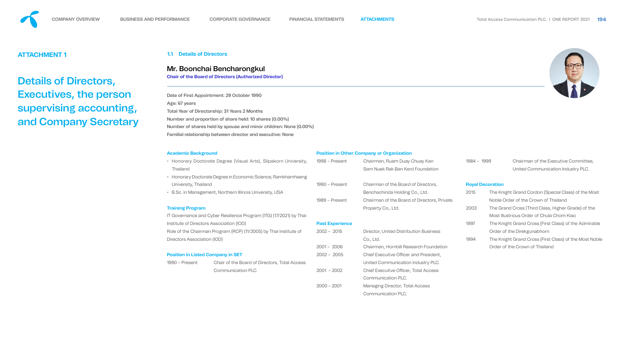

<span id="page-1-0"></span>

# **ATTACHMENT 1**

Details of Directors, Executives, the person supervising accounting, and Company Secretary

- Honorary Doctorate Degree (Visual Arts), Silpakorn Univ Thailand
- Honorary Doctorate Degree in Economic Science, Ramkham University, Thailand
- B.Sc. in Management, Northern Illinois University, USA

### **1.1 Details of Directors**

#### **Academic Background**

IT Governance and Cyber Resilience Program (ITG) (17/2021) b Institute of Directors Association (IOD) Role of the Chairman Program (RCP) (11/2005) by Thai Institut Directors Association (IOD)

1990 – Present Chair of the Board of Directors, Total Access Communication PLC.

#### **Training Program**

#### **Position in Listed Company in SET**

|  |  |  |  | <b>Position in Other Company or Organization</b> |
|--|--|--|--|--------------------------------------------------|
|--|--|--|--|--------------------------------------------------|

| versity,     | 1998 – Present         | Chairman, Ruam Duay Chuay Kan                 | $1984 - 1999$ |                         | Chairman of the Executive Committee,                |
|--------------|------------------------|-----------------------------------------------|---------------|-------------------------|-----------------------------------------------------|
|              |                        | Sam Nuek Rak Ban Kerd Foundation              |               |                         | United Communication Industry PLC.                  |
| haeng        |                        |                                               |               |                         |                                                     |
|              | 1990 - Present         | Chairman of the Board of Directors,           |               | <b>Royal Decoration</b> |                                                     |
|              |                        | Benchachinda Holding Co., Ltd.                | 2015          |                         | The Knight Grand Cordon (Special Class) of the Mo   |
|              | 1989 - Present         | Chairman of the Board of Directors, Private   |               |                         | Noble Order of the Crown of Thailand                |
|              |                        | Property Co., Ltd.                            | 2003          |                         | The Grand Cross (Third Class, Higher Grade) of the  |
| py Thai      |                        |                                               |               |                         | Most Illustrious Order of Chula Chom Klao           |
|              | <b>Past Experience</b> |                                               | 1997          |                         | The Knight Grand Cross (First Class) of the Admiral |
| te of        | $2002 - 2015$          | <b>Director, United Distribution Business</b> |               |                         | Order of the Direkgunabhorn                         |
|              |                        | Co., Ltd.                                     | 1994          |                         | The Knight Grand Cross (First Class) of the Most No |
|              | $2001 - 2006$          | Chairman, Hornbill Research Foundation        |               |                         | Order of the Crown of Thailand                      |
|              | $2002 - 2005$          | Chief Executive Officer and President,        |               |                         |                                                     |
| <b>CCESS</b> |                        | United Communication Industry PLC.            |               |                         |                                                     |
|              | $2001 - 2002$          | <b>Chief Executive Officer, Total Access</b>  |               |                         |                                                     |
|              |                        | <b>Communication PLC.</b>                     |               |                         |                                                     |
|              | $2000 - 2001$          | <b>Managing Director, Total Access</b>        |               |                         |                                                     |
|              |                        | <b>Communication PLC.</b>                     |               |                         |                                                     |



the Most<sup>.</sup>

e) of the

Admirable

Most Noble

Date of First Appointment: 29 October 1990 Age: 67 years Total Year of Directorship: 31 Years 2 Months Number and proportion of share held: 10 shares (0.00%) Number of shares held by spouse and minor children: None (0.00%) Familial relationship between director and executive: None

# Mr. Boonchai Bencharongkul

**Chair of the Board of Directors (Authorized Director)**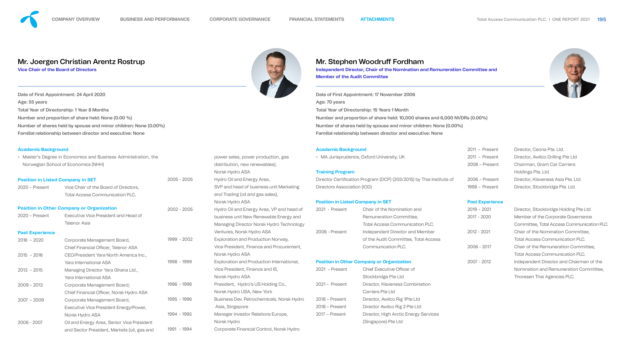|                        | • Master's Degree in Economics and Business Administration, the |               | • MA Jurisprudence, Oxford University, UK<br>power sales, power production, gas               |                             |                                                                      |  |
|------------------------|-----------------------------------------------------------------|---------------|-----------------------------------------------------------------------------------------------|-----------------------------|----------------------------------------------------------------------|--|
|                        | Norwegian School of Economics (NHH)                             |               | distribution, new renewables),                                                                |                             |                                                                      |  |
|                        |                                                                 |               | Norsk Hydro ASA                                                                               | <b>Training Program</b>     |                                                                      |  |
|                        | <b>Position in Listed Company in SET</b>                        | $2005 - 2005$ | Hydro Oil and Energy Area,                                                                    |                             | Director Certification Program (DCP) (203/2015) by Thai Institute of |  |
| $2020$ – Present       | Vice Chair of the Board of Directors,                           |               | SVP and head of business unit Marketing                                                       | Directors Association (IOD) |                                                                      |  |
|                        | <b>Total Access Communication PLC.</b>                          |               | and Trading (oil and gas sales),                                                              |                             |                                                                      |  |
|                        |                                                                 |               | Norsk Hydro ASA                                                                               |                             | <b>Position in Listed Company in SET</b>                             |  |
|                        | <b>Position in Other Company or Organization</b>                | $2002 - 2005$ | Hydro Oil and Energy Area, VP and head of                                                     | 2021 - Present              | <b>Chair of the Nomination and</b>                                   |  |
| $2020$ – Present       | Executive Vice President and Head of                            |               | business unit New Renewable Energy and                                                        |                             | Remuneration Committee,                                              |  |
|                        | <b>Telenor Asia</b>                                             |               | Managing Director Norsk Hydro Technology                                                      |                             | <b>Total Access Communication PLC.</b>                               |  |
| <b>Past Experience</b> |                                                                 |               | Ventures, Norsk Hydro ASA                                                                     | 2006 - Present              | Independent Director and Member                                      |  |
| $2016 - 2020$          | Corporate Management Board,                                     | 1999 - 2002   | Exploration and Production Norway,                                                            |                             | of the Audit Committee, Total Access                                 |  |
|                        | Chief Financial Officer, Telenor ASA                            |               | Vice President, Finance and Procurement,                                                      |                             | Communication PLC.                                                   |  |
| $2015 - 2016$          | CEO/President Yara North America Inc.,                          |               | Norsk Hydro ASA                                                                               |                             |                                                                      |  |
|                        | Yara International ASA                                          | 1998 - 1999   | Exploration and Production International,<br><b>Position in Other Company or Organization</b> |                             |                                                                      |  |
| $2013 - 2015$          | Managing Director Yara Ghana Ltd.,                              |               | Vice President, Finance and IS,                                                               | $2021$ – Present            | <b>Chief Executive Officer of</b>                                    |  |
|                        | <b>Yara International ASA</b>                                   |               | Norsk Hydro ASA                                                                               |                             | Stockbridge Pte Ltd                                                  |  |
| $2009 - 2013$          | Corporate Management Board;                                     | 1996 - 1998   | President, Hydro's US Holding Co.,                                                            | 2021 - Present              | Director, Klaveness Combination                                      |  |
|                        | Chief Financial Officer, Norsk Hydro ASA                        |               | Norsk Hydro USA, New York                                                                     |                             | Carriers Pte Ltd                                                     |  |
| $2007 - 2009$          | Corporate Management Board,                                     | 1995 - 1996   | Business Dev. Petrochemicals, Norsk Hydro                                                     | 2018 - Present              | Director, Awilco Rig 1Pte Ltd                                        |  |
|                        | Executive Vice President Energy/Power,                          |               | Asia, Singapore                                                                               | $2018$ – Present            | Director Awilco Rig 2 Pte Ltd                                        |  |
|                        | Norsk Hydro ASA                                                 | 1994 - 1995   | Manager Investor Relations Europe,                                                            | 2017 - Present              | Director, High Arctic Energy Services                                |  |
| $2006 - 2007$          | Oil and Energy Area, Senior Vice President                      |               | Norsk Hydro                                                                                   |                             | (Singapore) Pte Ltd                                                  |  |
|                        | and Sector President, Markets (oil, gas and                     | 1991 - 1994   | Corporate Financial Control, Norsk Hydro                                                      |                             |                                                                      |  |
|                        |                                                                 |               |                                                                                               |                             |                                                                      |  |





#### **Academic Background**



| 2011 - Present | Director, Ceona Pte. Ltd.          |
|----------------|------------------------------------|
| 2011 - Present | Director, Awlico Drilling Pte Ltd  |
| 2008 - Present | Chairman, Gram Car Carriers        |
|                | Holdings Pte. Ltd.                 |
| 2006 - Present | Director, Klaveness Asia Pte. Ltd. |
| 1998 - Present | Director, Stockbridge Pte. Ltd.    |

#### **Past Experience**

| $2019 - 2021$ | Director, Stockbridge Holding Pte Ltd           |
|---------------|-------------------------------------------------|
| $2017 - 2020$ | Member of the Corporate Governance              |
|               | <b>Committee, Total Access Communication PL</b> |
| $2012 - 2021$ | Chair of the Nomination Committee,              |
|               | <b>Total Access Communication PLC.</b>          |
| $2006 - 2017$ | Chair of the Remuneration Committee,            |
|               | <b>Total Access Communication PLC.</b>          |
| $2007 - 2012$ | Independent Director and Chairman of the        |
|               | Nomination and Remuneration Committee,          |
|               | Thoresen Thai Agencies PLC.                     |



nication PLC.

Date of First Appointment: 17 November 2006 Age: 70 years Total Year of Directorship: 15 Years 1 Month Number and proportion of share held: 10,000 shares and 6,000 NVDRs (0.00%) Number of shares held by spouse and minor children: None (0.00%) Familial relationship between director and executive: None

Date of First Appointment: 24 April 2020 Age: 55 years Total Year of Directorship: 1 Year 8 Months Number and proportion of share held: None (0.00 %) Number of shares held by spouse and minor children: None (0.00%) Familial relationship between director and executive: None

**Independent Director, Chair of the Nomination and Remuneration Committee and Member of the Audit Committee**

# Mr. Joergen Christian Arentz Rostrup

**Vice Chair of the Board of Directors**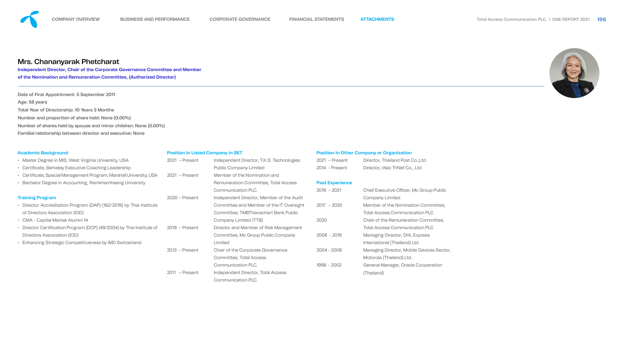|       | $2019 - 2021$ | <b>Chief Executive Officer, Mc Group Public</b> |
|-------|---------------|-------------------------------------------------|
| wdit  |               | <b>Company Limited</b>                          |
| sight | $2017 - 2020$ | Member of the Nomination Committee,             |
| lic   |               | <b>Total Access Communication PLC</b>           |
|       | 2020          | Chair of the Remuneration Committee,            |
| าent  |               | <b>Total Access Communication PLC</b>           |
|       | $2008 - 2019$ | Managing Director, DHL Express                  |
|       |               | International (Thailand) Ltd.                   |
|       | 2004 - 2008   | Managing Director, Mobile Devices Sector,       |
|       |               | Motorola (Thailand) Ltd.                        |
|       | 1998 - 2002   | General Manager, Oracle Cooperation             |
|       |               | (Thailand)                                      |



| <b>Academic Background</b>                                            |                  | <b>Position in Listed Company in SET</b>    |                        | <b>Position in Other Company or Organization</b> |  |  |
|-----------------------------------------------------------------------|------------------|---------------------------------------------|------------------------|--------------------------------------------------|--|--|
| • Master Degree in MIS, West Virginia University, USA                 | 2021 - Present   | Independent Director, T.K.S. Technologies   | 2021 - Present         | Director, Thailand Post Co., Ltd.                |  |  |
| • Certificate, Berkeley Executive Coaching Leadership                 |                  | <b>Public Company Limited</b>               | 2014 - Present         | Director, dtac TriNet Co., Ltd.                  |  |  |
| • Certificate, Special Management Program, Marshall University, USA   | $2021$ - Present | Member of the Nomination and                |                        |                                                  |  |  |
| • Bachelor Degree in Accounting, Ramkhamhaeng University              |                  | <b>Remuneration Committee, Total Access</b> | <b>Past Experience</b> |                                                  |  |  |
|                                                                       |                  | Communication PLC.                          | $2019 - 2021$          | Chief Executive Officer, Mc Grou                 |  |  |
| <b>Training Program</b>                                               | $2020$ – Present | Independent Director, Member of the Audit   |                        | <b>Company Limited</b>                           |  |  |
| • Director Accreditation Program (DAP) (162/2019) by Thai Institute   |                  | Committee and Member of the IT Oversight    | $2017 - 2020$          | Member of the Nomination Con                     |  |  |
| of Directors Association (IOD)                                        |                  | Committee, TMBThanachart Bank Public        |                        | <b>Total Access Communication P</b>              |  |  |
| • CMA - Capital Market Alumni 14                                      |                  | Company Limited (TTB)                       | 2020                   | Chair of the Remuneration Com                    |  |  |
| • Director Certification Program (DCP) (49/2004) by Thai Institute of | $2019$ - Present | Director and Member of Risk Management      |                        | <b>Total Access Communication P</b>              |  |  |
| Directors Association (IOD)                                           |                  | Committee, Mc Group Public Company          | $2008 - 2019$          | <b>Managing Director, DHL Express</b>            |  |  |
| • Enhancing Strategic Competitiveness by IMD Switzerland              |                  | Limited                                     |                        | International (Thailand) Ltd.                    |  |  |
|                                                                       | $2013$ - Present | Chair of the Corporate Governance           | $2004 - 2008$          | Managing Director, Mobile Devic                  |  |  |
|                                                                       |                  | Committee, Total Access                     |                        | Motorola (Thailand) Ltd.                         |  |  |
|                                                                       |                  | Communication PLC.                          | 1998 - 2002            | General Manager, Oracle Coope                    |  |  |
|                                                                       | 2011 - Present   | Independent Director, Total Access          |                        | (Thailand)                                       |  |  |
|                                                                       |                  | Communication PLC.                          |                        |                                                  |  |  |
|                                                                       |                  |                                             |                        |                                                  |  |  |



Date of First Appointment: 5 September 2011 Age: 58 years Total Year of Directorship: 10 Years 3 Months Number and proportion of share held: None (0.00%) Number of shares held by spouse and minor children: None (0.00%) Familial relationship between director and executive: None



# Mrs. Chananyarak Phetcharat

**Independent Director, Chair of the Corporate Governance Committee and Member of the Nomination and Remuneration Committee, (Authorized Director)**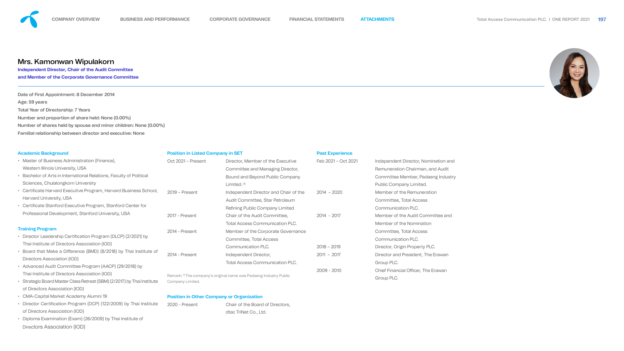| <b>Academic Background</b>                                            | <b>Position in Listed Company in SET</b>         |                                                                                | <b>Past Experience</b> |                                            |  |
|-----------------------------------------------------------------------|--------------------------------------------------|--------------------------------------------------------------------------------|------------------------|--------------------------------------------|--|
| • Master of Business Administration (Finance),                        | Oct 2021 - Present                               | Director, Member of the Executive                                              | Feb 2021 - Oct 2021    | Independent Director, Nomination and       |  |
| Western Illinois University, USA                                      |                                                  | Committee and Managing Director,                                               |                        | Remuneration Chairman, and Audit           |  |
| • Bachelor of Arts in International Relations, Faculty of Political   |                                                  | Bound and Beyond Public Company                                                |                        | Committee Member, Padaeng Industry         |  |
| Sciences, Chulalongkorn University                                    |                                                  | Limited. $(1)$                                                                 |                        | Public Company Limited.                    |  |
| • Certificate Harvard Executive Program, Harvard Business School,     | $2019$ – Present                                 | Independent Director and Chair of the                                          | $2014 - 2020$          | Member of the Remuneration                 |  |
| <b>Harvard University, USA</b>                                        |                                                  | Audit Committee, Star Petroleum                                                |                        | Committee, Total Access                    |  |
| • Certificate Stanford Executive Program, Stanford Center for         |                                                  | Refining Public Company Limited                                                |                        | <b>Communication PLC.</b>                  |  |
| Professional Development, Stanford University, USA                    | 2017 - Present                                   | Chair of the Audit Committee,                                                  | $2014 - 2017$          | Member of the Audit Committee and          |  |
|                                                                       |                                                  | <b>Total Access Communication PLC.</b>                                         |                        | Member of the Nomination                   |  |
| <b>Training Program</b>                                               | 2014 - Present                                   | Member of the Corporate Governance                                             |                        | Committee, Total Access                    |  |
| • Director Leadership Certification Program (DLCP) (2/2021) by        |                                                  | Committee, Total Access                                                        |                        | Communication PLC.                         |  |
| Thai Institute of Directors Association (IOD)                         |                                                  | Communication PLC.                                                             | $2018 - 2019$          | Director, Origin Property PLC.             |  |
| • Board that Make a Difference (BMD) (8/2018) by Thai Institute of    | 2014 - Present                                   | Independent Director,                                                          | $2011 - 2017$          | Director and President, The Erawan         |  |
| Directors Association (IOD)                                           |                                                  | <b>Total Access Communication PLC.</b>                                         |                        | Group PLC.                                 |  |
| • Advanced Audit Committee Program (AACP) (29/2018) by                |                                                  |                                                                                | $2009 - 2010$          | <b>Chief Financial Officer, The Erawan</b> |  |
| Thai Institute of Directors Association (IOD)                         |                                                  | Remark: <sup>(1)</sup> The company's original name was Padaeng Industry Public |                        | Group PLC.                                 |  |
| Strategic Board Master Class Retreat (SBM) (2/2017) by Thai Institute | Company Limited.                                 |                                                                                |                        |                                            |  |
| of Directors Association (IOD)                                        |                                                  |                                                                                |                        |                                            |  |
| <b>CMA-Capital Market Academy Alumni 19</b>                           | <b>Position in Other Company or Organization</b> |                                                                                |                        |                                            |  |
| • Director Certification Program (DCP) (122/2009) by Thai Institute   | 2020 - Present                                   | Chair of the Board of Directors,                                               |                        |                                            |  |
| of Directors Association (IOD)                                        |                                                  | dtac TriNet Co., Ltd.                                                          |                        |                                            |  |
| • Diploma Examination (Exam) (26/2009) by Thai Institute of           |                                                  |                                                                                |                        |                                            |  |
| Directors Association (IOD)                                           |                                                  |                                                                                |                        |                                            |  |





Date of First Appointment: 8 December 2014 Age: 59 years Total Year of Directorship: 7 Years Number and proportion of share held: None (0.00%) Number of shares held by spouse and minor children: None (0.00%) Familial relationship between director and executive: None

# Mrs. Kamonwan Wipulakorn

**Independent Director, Chair of the Audit Committee and Member of the Corporate Governance Committee**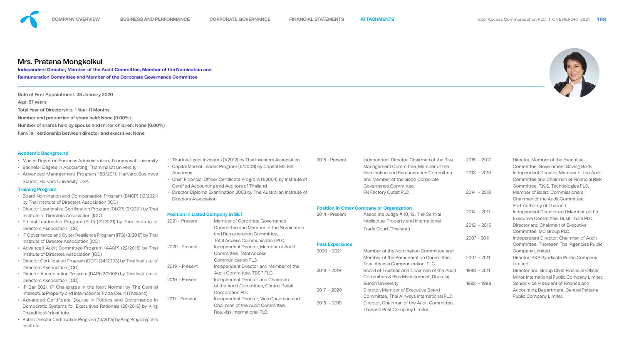



he Audit **Icial Risk** 

les Public

**Officer,** ny Limited

#### **Academic Background**

- Master Degree in Business Administration, Thammasat University
- Bachelor Degree in Accounting, Thammasat University
- Advanced Management Program 180/2011, Harvard Business School, Harvard University. USA

#### **Training Program**

- 
- Academy
- Certified Accounting and Auditors of Thailand
- 

- Board Nomination and Compensation Program (BNCP) (12/2021) by Thai Institute of Directors Association (IOD)
- Director Leadership Certification Program (DLCP) (2/2021) by Thai Institute of Directors Association (IOD)
- Ethical Leadership Program (ELP) (21/2021) by Thai Institute of Directors Association (IOD)
- IT Governance and Cyber Resilience Program (ITG) (3/2017) by Thai Institute of Director Association (IOD)
- Advanced Audit Committee Program (AACP) (22/2016) by Thai Institute of Directors Association (IOD)
- Director Certification Program (DCP) (34/2003) by Thai Institute of Directors Association (IOD)
- Director Accreditation Program (DAP) (2/2003) by Thai Institute of Directors Association (IOD)
- IP Bar 2021: IP Challenges in the Next Normal by The Central Intellectual Property and International Trade Court (Thailand)
- Advanced Certificate Course in Politics and Governance in Democratic Systems for Executives Rationale (20/2016) by King Prajadhipok's Institute
- Public Director Certification Program (13/2015) by King Prajadhipok's Institute

|                                          | Thai Intelligent Investors (1/2012) by Thai Investors Association    | 2015 - Present         | Independent Director, Chairman of the Risk                        | $2015 - 2017$ | Director, Member of the Executive              |
|------------------------------------------|----------------------------------------------------------------------|------------------------|-------------------------------------------------------------------|---------------|------------------------------------------------|
|                                          | Capital Market Leader Program (6/2008) by Capital Market             |                        | Management Committee, Member of the                               |               | Committee, Government Saving Bank              |
| Academy                                  |                                                                      |                        | Nomination and Remuneration Committee                             | $2013 - 2019$ | Independent Director, Member of the Aud        |
|                                          | Chief Financial Officer Certificate Program (1/2004) by Institute of |                        | and Member of the Good Corporate                                  |               | <b>Committee and Chairman of Financial Ris</b> |
|                                          | Certified Accounting and Auditors of Thailand                        |                        | Governance Committee,                                             |               | Committee, T.K.S. Technologies PLC.            |
|                                          | Director Diploma Examination 2003 by The Australian Institute of     |                        | FN Factory Outlet PLC.                                            | $2014 - 2018$ | Member of Board Commissioners,                 |
| <b>Directors Association</b>             |                                                                      |                        |                                                                   |               | Chairman of the Audit Committee,               |
|                                          |                                                                      |                        | <b>Position in Other Company or Organization</b>                  |               | Port Authority of Thailand                     |
| <b>Position in Listed Company in SET</b> |                                                                      | 2014 - Present         | Associate Judge # 10, 13, The Central                             | $2014 - 2017$ | Independent Director and Member of the         |
| 2021 – Present                           | Member of Corporate Governance                                       |                        | Intellectual Property and International<br>Trade Court (Thailand) |               | Executive Committee, Dusit Thani PLC.          |
|                                          | Committee and Member of the Nomination                               |                        |                                                                   | $2012 - 2015$ | Director and Chairman of Executive             |
|                                          | and Remuneration Committee,                                          |                        |                                                                   |               | Committee, MC Group PLC.                       |
|                                          | <b>Total Access Communication PLC.</b>                               |                        |                                                                   | $2007 - 2011$ | Independent Director, Chairman of Audit        |
| 2020 - Present                           | Independent Director, Member of Audit                                | <b>Past Experience</b> |                                                                   |               | Committee, Thoresen Thai Agencies Publ         |
|                                          | Committee, Total Access                                              | $2020 - 2021$          | Member of the Nomination Committee and                            |               | <b>Company Limited</b>                         |
|                                          | <b>Communication PLC.</b>                                            |                        | Member of the Remuneration Committee,                             | $2007 - 2011$ | Director, S&P Syndicate Public Company         |
| 2019 - Present                           | Independent Director and Member of the                               |                        | <b>Total Access Communication PLC.</b>                            |               | Limited                                        |
|                                          | Audit Committee, TBSP PLC.                                           | $2018 - 2019$          | Board of Trustees and Chairman of the Audit                       | $1998 - 2011$ | Director and Group Chief Financial Officer     |
| 2019 - Present                           | Independent Director and Chairman                                    |                        | Committee & Risk Management, Dhurakij                             |               | Minor International Public Company Limite      |
|                                          | of the Audit Committee, Central Retail                               |                        | <b>Bundit University</b>                                          | $1992 - 1998$ | Senior Vice President of Finance and           |
|                                          | Corporation PLC.                                                     | 2017 - 2020            | Director, Member of Executive Board                               |               | Accounting Department, Central Pattana         |
| 2017 - Present                           | Independent Director, Vice Chairman and                              |                        | Committee, Thai Airways International PLC.                        |               | <b>Public Company Limited</b>                  |
|                                          | Chairman of the Audit Committee,                                     | $2015 - 2019$          | Director, Chairman of the Audit Committee,                        |               |                                                |
|                                          | Rojukiss International PLC.                                          |                        | <b>Thailand Post Company Limited</b>                              |               |                                                |
|                                          |                                                                      |                        |                                                                   |               |                                                |

Date of First Appointment: 28 January 2020 Age: 57 years Total Year of Directorship: 1 Year 11 Months Number and proportion of share held: None (0.00%) Number of shares held by spouse and minor children: None (0.00%) Familial relationship between director and executive: None



# Mrs. Pratana Mongkolkul

**Independent Director, Member of the Audit Committee, Member of the Nomination and Remuneration Committee and Member of the Corporate Governance Committee**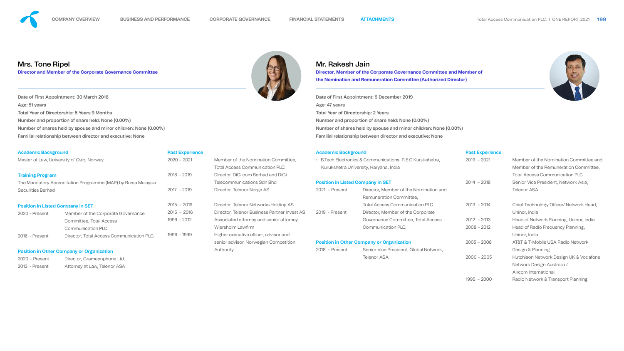

| <b>Academic Background</b>                |                                                               | <b>Past Experience</b> |                                              | <b>Academic Background</b> |                                                                   | <b>Past Experience</b> |                                                  |
|-------------------------------------------|---------------------------------------------------------------|------------------------|----------------------------------------------|----------------------------|-------------------------------------------------------------------|------------------------|--------------------------------------------------|
| Master of Law, University of Oslo, Norway |                                                               | $2020 - 2021$          | Member of the Nomination Committee,          |                            | • B. Tech Electronics & Communications, R.E.C Kurukshetra,        | $2019 - 2021$          | Member of the Nomination Committee a             |
|                                           |                                                               |                        | <b>Total Access Communication PLC.</b>       |                            | Kurukshetra University, Haryana, India                            |                        | Member of the Remuneration Committee             |
| <b>Training Program</b>                   |                                                               | $2018 - 2019$          | Director, DiGi.com Berhad and DiGi           |                            |                                                                   |                        | <b>Total Access Communication PLC.</b>           |
|                                           | The Mandatory Accreditation Programme (MAP) by Bursa Malaysia |                        | <b>Telecommunications Sdn Bhd</b>            |                            | <b>Position in Listed Company in SET</b>                          |                        | Senior Vice President, Network Asia,             |
| <b>Securities Berhad</b>                  |                                                               | $2017 - 2019$          | Director, Telenor Norge AS                   | 2021 - Present             | Director, Member of the Nomination and<br>Remuneration Committee, |                        | <b>Telenor ASA</b>                               |
| <b>Position in Listed Company in SET</b>  |                                                               | $2015 - 2019$          | Director, Telenor Networks Holding AS        |                            | <b>Total Access Communication PLC.</b>                            | $2013 - 2014$          | Chief Technology Officer/ Network Head,          |
| 2020 - Present                            | Member of the Corporate Governance                            | $2015 - 2016$          | Director, Telenor Business Partner Invest AS | 2019 - Present             | Director, Member of the Corporate                                 |                        | Uninor, India                                    |
|                                           | Committee, Total Access                                       | 1999 - 2012            | Associated attorney and senior attorney,     |                            | Governance Committee, Total Access                                | $2012 - 2013$          | Head of Network Planning, Uninor, India          |
|                                           | Communication PLC.                                            |                        | Wiersholm Lawfirm                            |                            | Communication PLC.                                                | $2008 - 2012$          | Head of Radio Frequency Planning,                |
| 2016 - Present                            | Director, Total Access Communication PLC.                     | 1996 - 1999            | Higher executive officer, advisor and        |                            |                                                                   |                        | Uninor, India                                    |
|                                           |                                                               |                        | senior advisor, Norwegian Competition        |                            | <b>Position in Other Company or Organization</b>                  | $2005 - 2008$          | <b>AT&amp;T &amp; T-Mobile USA Radio Network</b> |
|                                           | <b>Position in Other Company or Organization</b>              |                        | Authority                                    | $2018$ - Present           | Senior Vice President, Global Network,                            |                        | Design & Planning                                |
| $2020$ – Present                          | Director, Grameenphone Ltd.                                   |                        |                                              |                            | <b>Telenor ASA</b>                                                | $2000 - 2005$          | Hutchison Network Design UK & Vodafon            |
| 2013 - Present                            | Attorney at Law, Telenor ASA                                  |                        |                                              |                            |                                                                   |                        | Network Design Australia /                       |
|                                           |                                                               |                        |                                              |                            |                                                                   |                        | Aircom International                             |
|                                           |                                                               |                        |                                              |                            |                                                                   |                        |                                                  |



1995 – 2000 Radio Network & Transport Planning



nittee and mmittee,

/odafone

Date of First Appointment: 9 December 2019 Age: 47 years Total Year of Directorship: 2 Years Number and proportion of share held: None (0.00%) Number of shares held by spouse and minor children: None (0.00%) Familial relationship between director and executive: None



# Mr. Rakesh Jain

**Director, Member of the Corporate Governance Committee and Member of the Nomination and Remuneration Committee (Authorized Director)**

Date of First Appointment: 30 March 2016 Age: 51 years Total Year of Directorship: 5 Years 9 Months Number and proportion of share held: None (0.00%) Number of shares held by spouse and minor children: None (0.00%) Familial relationship between director and executive: None

# Mrs. Tone Ripel

**Director and Member of the Corporate Governance Committee**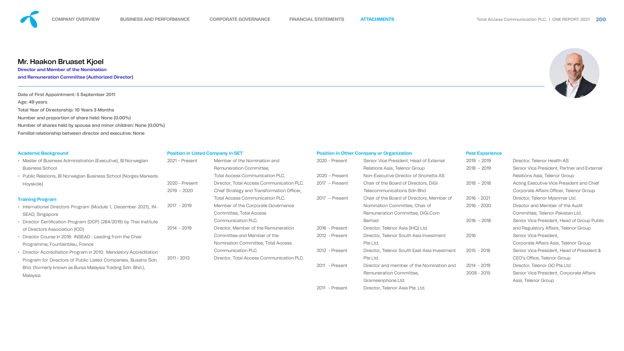| <b>Academic Background</b>                                          | <b>Position in Listed Company in SET</b> |                                            | <b>Position in Other Company or Organization</b> |                                              | <b>Past Experience</b> |
|---------------------------------------------------------------------|------------------------------------------|--------------------------------------------|--------------------------------------------------|----------------------------------------------|------------------------|
| • Master of Business Administration (Executive), BI Norwegian       | 2021 – Present                           | Member of the Nomination and               | 2020 - Present                                   | Senior Vice President, Head of External      | $2019 - 2019$          |
| <b>Business School</b>                                              |                                          | Remuneration Committee,                    |                                                  | Relations Asia, Telenor Group                | $2018 - 2019$          |
| • Public Relations, BI Norwegian Business School (Norges Markeds    |                                          | <b>Total Access Communication PLC.</b>     | $2020$ – Present                                 | Non-Executive Director of Snohetta AS        |                        |
| Hoyskole)                                                           | 2020 - Present                           | Director, Total Access Communication PLC.  | 2017 - Present                                   | Chair of the Board of Directors, DiGi        | $2018 - 2018$          |
|                                                                     | $2019 - 2020$                            | Chief Strategy and Transformation Officer, |                                                  | <b>Telecommunications Sdn Bhd</b>            |                        |
| <b>Training Program</b>                                             |                                          | <b>Total Access Communication PLC.</b>     | 2017 - Present                                   | Chair of the Board of Directors, Member of   | $2016 - 2021$          |
| • International Directors Program (Module 1, December 2021), IN-    | 2017 - 2019                              | Member of the Corporate Governance         |                                                  | Nomination Committee, Chair of               | $2016 - 2020$          |
| SEAD, Singapore                                                     |                                          | Committee, Total Access                    |                                                  | Remuneration Committee, DiGi.Com             |                        |
| • Director Certification Program (DCP) (284/2019) by Thai Institute |                                          | Communication PLC.                         |                                                  | <b>Berhad</b>                                | $2016 - 2018$          |
| of Directors Association (IOD)                                      | 2014 - 2019                              | Director, Member of the Remuneration       | 2016 - Present                                   | Director, Telenor Asia (IHQ) Ltd.            |                        |
| • Director Course in 2018: INSEAD - Leading from the Chair          |                                          | Committee and Member of the                | 2012 - Present                                   | Director, Telenor South Asia Investment      | 2016                   |
| Programme, Fountainbleu, France                                     |                                          | Nomination Committee, Total Access         |                                                  | Pte Ltd.                                     |                        |
| • Director Accreditation Program in 2010: Mandatory Accreditation   |                                          | Communication PLC.                         | 2012 - Present                                   | Director, Telenor South East Asia Investment | $2015 - 2016$          |
| Program for Directors of Public Listed Companies, Busatra Sdn.      | $2011 - 2013$                            | Director, Total Access Communication PLC.  |                                                  | Pte Ltd.                                     |                        |
| Bhd. (formerly known as Bursa Malaysia Trading Sdn. Bhd.),          |                                          |                                            | 2011 - Present                                   | Director and member of the Nomination and    | 2014 - 2019            |
| Malaysia                                                            |                                          |                                            |                                                  | Remuneration Committee,                      | $2008 - 2015$          |
|                                                                     |                                          |                                            |                                                  | Grameenphone Ltd.                            |                        |
|                                                                     |                                          |                                            | 2011 - Present                                   | Director, Telenor Asia Pte. Ltd.             |                        |



| $2019 - 2019$ | Director, Telenor Health AS                     |
|---------------|-------------------------------------------------|
| 2018 - 2019   | Senior Vice President, Partner and Exter        |
|               | Relations Asia, Telenor Group                   |
| 2018 - 2018   | <b>Acting Executive Vice President and Chie</b> |
|               | Corporate Affairs Officer, Telenor Group        |
| 2016 - 2021   | Director, Telenor Myanmar Ltd.                  |
| 2016 - 2020   | Director and Member of the Audit                |
|               | Committee, Telenor Pakistan Ltd.                |
| 2016 - 2018   | Senior Vice President, Head of Group Pu         |
|               | and Regulatory Affairs, Telenor Group           |
| 2016          | Senior Vice President,                          |
|               | Corporate Affairs Asia, Telenor Group           |
| 2015 - 2016   | Senior Vice President, Head of President        |
|               | CEO's Office, Telenor Group                     |
| 2014 - 2019   | Director, Telenor GO Pte Ltd.                   |
| 2008 - 2015   | Senior Vice President, Corporate Affairs        |
|               | Asia, Telenor Group                             |



l External **ad Chief** 

<sub>i</sub> up Public

ident &

Date of First Appointment: 5 September 2011 Age: 49 years Total Year of Directorship: 10 Years 3 Months Number and proportion of share held: None (0.00%) Number of shares held by spouse and minor children: None (0.00%) Familial relationship between director and executive: None



**Director and Member of the Nomination and Remuneration Committee (Authorized Director)**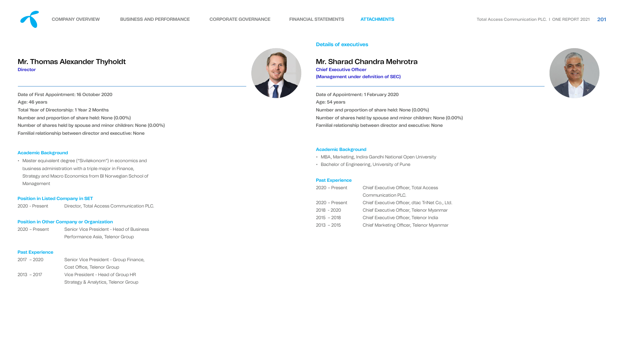• Master equivalent degree ("Siviløkonom") in economics and business administration with a triple major in Finance, Strategy and Macro Economics from BI Norwegian School of Management

#### **Position in Listed Company in SET**

2020 - Present Director, Total Access Communication PLC.

#### **Position in Other Company or Organization**

2020 – Present Senior Vice President - Head of Business Performance Asia, Telenor Group

#### **Past Experience**

2017 – 2020 Senior Vice President - Group Finance, Cost Office, Telenor Group 2013 – 2017 Vice President - Head of Group HR Strategy & Analytics, Telenor Group



#### **Academic Background**

- MBA, Marketing, Indira Gandhi National Open University
- Bachelor of Engineering, University of Pune

#### **Past Experience**

| $2020$ – Present | <b>Chief Executive Officer, Total Access</b>   |  |
|------------------|------------------------------------------------|--|
|                  | Communication PLC.                             |  |
| $2020$ – Present | Chief Executive Officer, dtac TriNet Co., Ltd. |  |
| $2018 - 2020$    | Chief Executive Officer, Telenor Myanmar       |  |
| $2015 - 2018$    | Chief Executive Officer, Telenor India         |  |
| $2013 - 2015$    | Chief Marketing Officer, Telenor Myanmar       |  |







#### **Details of executives**

Date of Appointment: 1 February 2020 Age: 54 years Number and proportion of share held: None (0.00%) Number of shares held by spouse and minor children: None (0.00%) Familial relationship between director and executive: None

# Mr. Sharad Chandra Mehrotra

**Chief Executive Officer (Management under definition of SEC)** 

Date of First Appointment: 16 October 2020 Age: 46 years Total Year of Directorship: 1 Year 2 Months Number and proportion of share held: None (0.00%) Number of shares held by spouse and minor children: None (0.00%) Familial relationship between director and executive: None

# Mr. Thomas Alexander Thyholdt

**Director**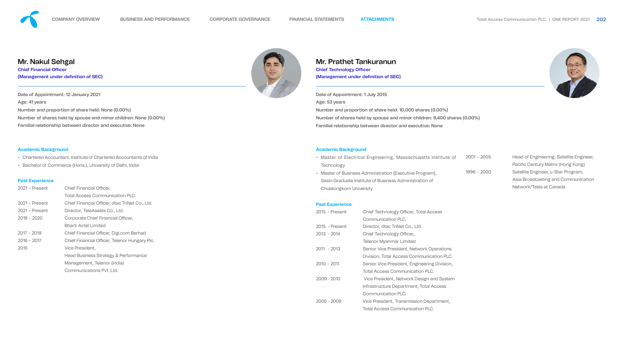- Chartered Accountant, Institute of Chartered Accountants of India
- Bachelor of Commerce (Hons.), University of Delhi, India

#### **Past Experience**

| $2021 -$ Present | <b>Chief Financial Officer,</b>                 |  |
|------------------|-------------------------------------------------|--|
|                  | <b>Total Access Communication PLC.</b>          |  |
| $2021 -$ Present | Chief Financial Officer, dtac TriNet Co., Ltd.  |  |
| $2021 -$ Present | Director, TeleAssets Co., Ltd.                  |  |
| $2019 - 2020$    | Corporate Chief Financial Officer,              |  |
|                  | <b>Bharti Airtel Limited</b>                    |  |
| $2017 - 2019$    | Chief Financial Officer, Digi.com Berhad        |  |
| $2016 - 2017$    | Chief Financial Officer, Telenor Hungary Plc.   |  |
| 2015             | Vice President,                                 |  |
|                  | <b>Head Business Strategy &amp; Performance</b> |  |
|                  | Management, Telenor (India)                     |  |
|                  | Communications Pyt. Ltd.                        |  |



#### **Academic Background**

| 2015 - Present   | <b>Chief Technology Officer, Total Access</b> |
|------------------|-----------------------------------------------|
|                  | Communication PLC.                            |
| $2015$ - Present | Director, dtac TriNet Co., Ltd.               |
| 2013 - 2014      | Chief Technology Officer,                     |
|                  | <b>Telenor Myanmar Limited</b>                |
| $2011 - 2013$    | Senior Vice President, Network Operations     |
|                  | Division, Total Access Communication PLC.     |
| $2010 - 2011$    | Senior Vice President, Engineering Division,  |
|                  | <b>Total Access Communication PLC.</b>        |
| $2009 - 2010$    | Vice President, Network Design and System     |
|                  | Infrastructure Department, Total Access       |
|                  | Communication PLC.                            |
| $2005 - 2009$    | Vice President, Transmission Department,      |
|                  | <b>Total Access Communication PLC.</b>        |



• Master of Electrical Engineering, Massachusetts Institute of **Technology** • Master of Business Administration (Executive Program), Sasin Graduate Institute of Business Administration of Chulalongkorn University

#### **Past Experience**

2001 - 2005 Head of Engineering, Satellite Engineer, Pacific Century Matrix (Hong Kong) 1996 - 2000 Satellite Engineer, L-Star Program, Asia Broadcasting and Communication Network/Teles at Canada



Date of Appointment: 1 July 2015 Age: 53 years Number and proportion of share held: 10,000 shares (0.00%) Number of shares held by spouse and minor children: 9,400 shares (0.00%) Familial relationship between director and executive: None

# Mr. Prathet Tankuranun

**Chief Technology Officer (Management under definition of SEC)** 

Date of Appointment: 12 January 2021 Age: 41 years Number and proportion of share held: None (0.00%) Number of shares held by spouse and minor children: None (0.00%) Familial relationship between director and executive: None

# Mr. Nakul Sehgal

**Chief Financial Officer (Management under definition of SEC)**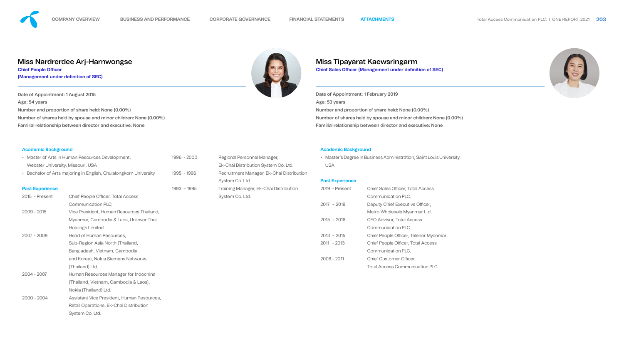| • Master of Arts in Human Resources Development,<br>1996 - 200<br>Webster University, Missouri, USA |                                            |              |  |
|-----------------------------------------------------------------------------------------------------|--------------------------------------------|--------------|--|
| • Bachelor of Arts majoring in English, Chulalongkorn University                                    |                                            |              |  |
| <b>Past Experience</b>                                                                              |                                            | $1993 - 199$ |  |
| 2015 - Present                                                                                      | <b>Chief People Officer, Total Access</b>  |              |  |
|                                                                                                     | <b>Communication PLC.</b>                  |              |  |
| 2009 - 2015                                                                                         | Vice President, Human Resources Thailand,  |              |  |
|                                                                                                     | Myanmar, Cambodia & Laos, Unilever Thai    |              |  |
|                                                                                                     | <b>Holdings Limited</b>                    |              |  |
| 2007 - 2009                                                                                         | Head of Human Resources,                   |              |  |
|                                                                                                     | Sub-Region Asia North (Thailand,           |              |  |
|                                                                                                     | Bangladesh, Vietnam, Cambodia              |              |  |
|                                                                                                     | and Korea), Nokia Siemens Networks         |              |  |
|                                                                                                     | (Thailand) Ltd.                            |              |  |
| 2004 - 2007                                                                                         | Human Resources Manager for Indochina      |              |  |
|                                                                                                     | (Thailand, Vietnam, Cambodia & Laos),      |              |  |
|                                                                                                     | Nokia (Thailand) Ltd.                      |              |  |
| $2000 - 2004$                                                                                       | Assistant Vice President, Human Resources, |              |  |
|                                                                                                     | Retail Operations, Ek-Chai Distribution    |              |  |
|                                                                                                     | System Co. Ltd.                            |              |  |



| 2019 - Present | <b>Chief Sales Officer, Total Access</b>  |
|----------------|-------------------------------------------|
|                | Communication PLC.                        |
| $2017 - 2019$  | Deputy Chief Executive Officer,           |
|                | Metro Wholesale Myanmar Ltd.              |
| $2015 - 2016$  | <b>CEO Advisor, Total Access</b>          |
|                | Communication PLC.                        |
| $2013 - 2015$  | Chief People Officer, Telenor Myanmar     |
| $2011 - 2013$  | <b>Chief People Officer, Total Access</b> |
|                | Communication PLC.                        |
| $2008 - 2011$  | <b>Chief Customer Officer,</b>            |
|                | <b>Total Access Communication PLC.</b>    |





| 1996 - 2000 | Regional Personnel Manager,            |
|-------------|----------------------------------------|
|             | Ek-Chai Distribution System Co. Ltd.   |
| 1995 - 1996 | Recruitment Manager, Ek-Chai Distribu  |
|             | System Co. Ltd.                        |
| 1993 - 1995 | Training Manager, Ek-Chai Distribution |
|             | System Co. Ltd.                        |

#### **Academic Background**

• Master's Degree in Business Administration, Saint Louis University, USA

#### ribution

#### **Past Experience**

Date of Appointment: 1 February 2019 Age: 53 years Number and proportion of share held: None (0.00%) Number of shares held by spouse and minor children: None (0.00%) Familial relationship between director and executive: None

# Miss Tipayarat Kaewsringarm

**Chief Sales Officer (Management under definition of SEC)** 

Date of Appointment: 1 August 2015 Age: 54 years Number and proportion of share held: None (0.00%) Number of shares held by spouse and minor children: None (0.00%) Familial relationship between director and executive: None

# Miss Nardrerdee Arj-Harnwongse

**Chief People Officer** 

**(Management under definition of SEC)**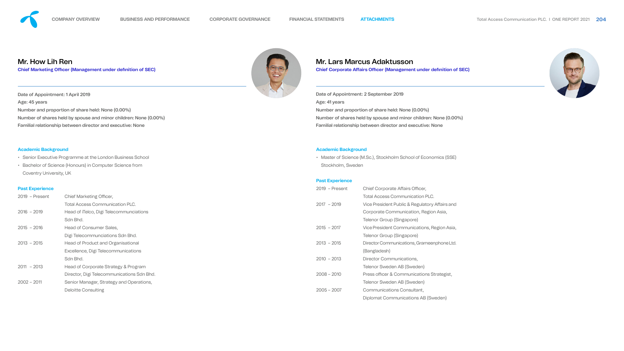- Senior Executive Programme at the London Business School
- Bachelor of Science (Honours) in Computer Science from Coventry University, UK

#### **Past Experience**

| $2019$ – Present | <b>Chief Marketing Officer,</b>            |
|------------------|--------------------------------------------|
|                  | <b>Total Access Communication PLC.</b>     |
| $2016 - 2019$    | Head of Telco, Digi Telecommunciations     |
|                  | Sdn Bhd.                                   |
| $2015 - 2016$    | Head of Consumer Sales,                    |
|                  | Digi Telecommunciations Sdn Bhd.           |
| $2013 - 2015$    | <b>Head of Product and Organisational</b>  |
|                  | Excellence, Digi Telecommunications        |
|                  | Sdn Bhd.                                   |
| $2011 - 2013$    | Head of Corporate Strategy & Program       |
|                  | Director, Digi Telecommunications Sdn Bhd. |
| $2002 - 2011$    | Senior Manager, Strategy and Operations,   |
|                  | <b>Deloitte Consulting</b>                 |



| $2019$ – Present | <b>Chief Corporate Affairs Officer,</b>        |
|------------------|------------------------------------------------|
|                  | <b>Total Access Communication PLC.</b>         |
| $2017 - 2019$    | Vice President Public & Regulatory Affairs and |
|                  | Corporate Communication, Region Asia,          |
|                  | Telenor Group (Singapore)                      |
| $2015 - 2017$    | Vice President Communications, Region Asia,    |
|                  | <b>Telenor Group (Singapore)</b>               |
| $2013 - 2015$    | Director Communications, Grameenphone Ltd.     |
|                  | (Bangladesh)                                   |
| $2010 - 2013$    | Director Communications,                       |
|                  | <b>Telenor Sweden AB (Sweden)</b>              |
| $2008 - 2010$    | Press officer & Communications Strategist,     |
|                  | Telenor Sweden AB (Sweden)                     |
| $2005 - 2007$    | Communications Consultant,                     |
|                  | Diplomat Communications AB (Sweden)            |
|                  |                                                |





#### **Academic Background**

• Master of Science (M.Sc.), Stockholm School of Economics (SSE) Stockholm, Sweden

#### **Past Experience**

Date of Appointment: 2 September 2019 Age: 41 years Number and proportion of share held: None (0.00%) Number of shares held by spouse and minor children: None (0.00%) Familial relationship between director and executive: None

# Mr. Lars Marcus Adaktusson

**Chief Corporate Affairs Officer (Management under definition of SEC)** 

Date of Appointment: 1 April 2019 Age: 45 years Number and proportion of share held: None (0.00%) Number of shares held by spouse and minor children: None (0.00%) Familial relationship between director and executive: None

# Mr. How Lih Ren

**Chief Marketing Officer (Management under definition of SEC)**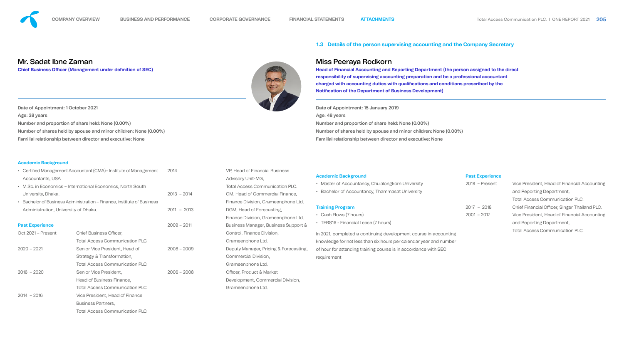|                                                            | Certified Management Accountant (CMA) – Institute of Management                                        | 2014                           | VP, Head of Financial Business                                                                      | <b>Academic Background</b>                                                                                                             | <b>Past Experience</b>         |                                                                                                                                                              |
|------------------------------------------------------------|--------------------------------------------------------------------------------------------------------|--------------------------------|-----------------------------------------------------------------------------------------------------|----------------------------------------------------------------------------------------------------------------------------------------|--------------------------------|--------------------------------------------------------------------------------------------------------------------------------------------------------------|
| <b>Accountants, USA</b>                                    | M.Sc. in Economics - International Economics, North South                                              |                                | <b>Advisory Unit-MG,</b><br><b>Total Access Communication PLC.</b>                                  | • Master of Accountancy, Chulalongkorn University                                                                                      | $2019$ - Present               | Vice President, Head of Financial Ad                                                                                                                         |
| University, Dhaka.<br>Administration, University of Dhaka. | Bachelor of Business Administration – Finance, Institute of Business                                   | $2013 - 2014$<br>$2011 - 2013$ | GM, Head of Commercial Finance,<br>Finance Division, Grameenphone Ltd.<br>DGM, Head of Forecasting, | • Bachelor of Accountancy, Thammasat University<br><b>Training Program</b><br>• Cash Flows (7 hours)                                   | $2017 - 2018$<br>$2001 - 2017$ | and Reporting Department,<br><b>Total Access Communication PLC.</b><br><b>Chief Financial Officer, Singer Thaila</b><br>Vice President, Head of Financial Ad |
| <b>Past Experience</b>                                     |                                                                                                        | $2009 - 2011$                  | Finance Division, Grameenphone Ltd.<br>Business Manager, Business Support &                         | • TFRS16 - Financial Lease (7 hours)                                                                                                   |                                | and Reporting Department,                                                                                                                                    |
| Oct 2021 - Present                                         | <b>Chief Business Officer,</b><br><b>Total Access Communication PLC.</b>                               |                                | Control, Finance Division,<br>Grameenphone Ltd.                                                     | In 2021, completed a continuing development course in accounting<br>knowledge for not less than six hours per calendar year and number |                                | <b>Total Access Communication PLC.</b>                                                                                                                       |
| $2020 - 2021$                                              | Senior Vice President, Head of<br>Strategy & Transformation,<br><b>Total Access Communication PLC.</b> | $2008 - 2009$                  | Deputy Manager, Pricing & Forecasting,<br>Commercial Division,<br>Grameenphone Ltd.                 | of hour for attending training course is in accordance with SEC<br>requirement                                                         |                                |                                                                                                                                                              |
| $2016 - 2020$                                              | Senior Vice President,<br>Head of Business Finance,<br><b>Total Access Communication PLC.</b>          | $2006 - 2008$                  | <b>Officer, Product &amp; Market</b><br>Development, Commercial Division,<br>Grameenphone Ltd.      |                                                                                                                                        |                                |                                                                                                                                                              |
| $2014 - 2016$                                              | Vice President, Head of Finance<br><b>Business Partners,</b><br><b>Total Access Communication PLC.</b> |                                |                                                                                                     |                                                                                                                                        |                                |                                                                                                                                                              |

### **1.3 Details of the person supervising accounting and the Company Secretary**

Date of Appointment: 1 October 2021 Age: 38 years Number and proportion of share held: None (0.00%) Number of shares held by spouse and minor children: None (0.00%) Familial relationship between director and executive: None

Date of Appointment: 15 January 2019 Age: 48 years Number and proportion of share held: None (0.00%) Number of shares held by spouse and minor children: None (0.00%) Familial relationship between director and executive: None



# .ccounting and PLC.

ccounting.

# Mr. Sadat Ibne Zaman

**Chief Business Officer (Management under definition of SEC)** 



# Miss Peeraya Rodkorn

**Head of Financial Accounting and Reporting Department (the person assigned to the direct responsibility of supervising accounting preparation and be a professional accountant**  charged with accounting duties with qualifications and conditions prescribed by the **Notifi cation of the Department of Business Development)**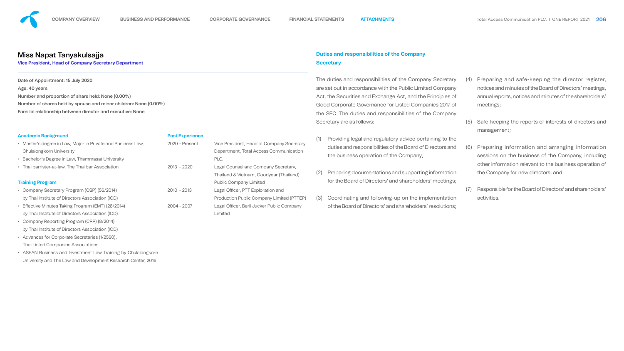• Advances for Corporate Secretaries (1/2560), Thai Listed Companies Associations

| <b>Academic Background</b>                                   | <b>Past Experience</b> |                                                  |
|--------------------------------------------------------------|------------------------|--------------------------------------------------|
| • Master's degree in Law, Major in Private and Business Law, | 2020 - Present         | Vice President, Head of Company Secretary        |
| <b>Chulalongkorn University</b>                              |                        | Department, Total Access Communication           |
| • Bachelor's Degree in Law, Thammasat University             |                        | PLC.                                             |
| • Thai barrister-at-law, The Thai bar Association            | 2013 - 2020            | Legal Counsel and Company Secretary,             |
|                                                              |                        | Thailand & Vietnam, Goodyear (Thailand)          |
| <b>Training Program</b>                                      |                        | <b>Public Company Limited</b>                    |
| • Company Secretary Program (CSP) (56/2014)                  | $2010 - 2013$          | Legal Officer, PTT Exploration and               |
| by Thai Institute of Directors Association (IOD)             |                        | <b>Production Public Company Limited (PTTEP)</b> |
| • Effective Minutes Taking Program (EMT) (28/2014)           | 2004 - 2007            | Legal Officer, Berli Jucker Public Company       |
| by Thai Institute of Directors Association (IOD)             |                        | Limited                                          |
| • Company Reporting Program (CRP) (8/2014)                   |                        |                                                  |
| by Thai Institute of Directors Association (IOD)             |                        |                                                  |
| $A - I$                                                      |                        |                                                  |

• ASEAN Business and Investment Law Training by Chulalongkorn University and The Law and Development Research Center, 2016

Date of Appointment: 15 July 2020 Age: 40 years Number and proportion of share held: None (0.00%) Number of shares held by spouse and minor children: None (0.00%)

Familial relationship between director and executive: None

## Miss Napat Tanyakulsajja

#### **Vice President, Head of Company Secretary Department**

# **Duties and responsibilities of the Company Secretary**

The duties and responsibilities of the Company Secretary are set out in accordance with the Public Limited Company Act, the Securities and Exchange Act, and the Principles of Good Corporate Governance for Listed Companies 2017 of the SEC. The duties and responsibilities of the Company Secretary are as follows:

- (1) Providing legal and regulatory advice pertaining to the duties and responsibilities of the Board of Directors and the business operation of the Company;
- (2) Preparing documentations and supporting information for the Board of Directors' and shareholders' meetings;
- (3) Coordinating and following-up on the implementation of the Board of Directors' and shareholders' resolutions;
- (4) Preparing and safe-keeping the director register, notices and minutes of the Board of Directors' meetings, annual reports, notices and minutes of the shareholders' meetings;
- (5) Safe-keeping the reports of interests of directors and management;
- (6) Preparing information and arranging information sessions on the business of the Company, including other information relevant to the business operation of the Company for new directors; and
- (7) Responsible for the Board of Directors' and shareholders' activities.





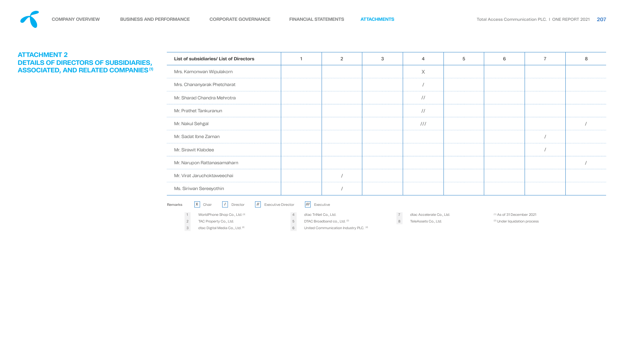| <b>List of subsidiaries/ List of Directors</b>                                             |                            |           |
|--------------------------------------------------------------------------------------------|----------------------------|-----------|
| Mrs. Kamonwan Wipulakorn                                                                   |                            |           |
| Mrs. Chananyarak Phetcharat                                                                |                            |           |
| Mr. Sharad Chandra Mehrotra                                                                |                            |           |
| Mr. Prathet Tankuranun                                                                     |                            |           |
| Mr. Nakul Sehgal                                                                           |                            |           |
| Mr. Sadat Ibne Zaman                                                                       |                            |           |
| Mr. Sirawit Klabdee                                                                        |                            |           |
| Mr. Narupon Rattanasamaharn                                                                |                            |           |
| Mr. Virat Jaruchoktaweechai                                                                |                            |           |
| Ms. Siriwan Sereeyothin                                                                    |                            |           |
| <b>Remarks</b><br><b>Executive Director</b><br>X<br>Director<br>Chair<br>$^{\prime\prime}$ | $^{\prime\prime\prime}$    | Executive |
| WorldPhone Shop Co., Ltd. (2)<br>1                                                         | dtac TriNet Co., Ltd.<br>4 |           |

2 TAC Property Co., Ltd.

3 dtac Digital Media Co., Ltd. <sup>(2)</sup>

| List of subsidiaries/ List of Directors | 2 | 3 | 4             | 5 | 6 | 7 |  |
|-----------------------------------------|---|---|---------------|---|---|---|--|
| Mrs. Kamonwan Wipulakorn                |   |   | $\times$      |   |   |   |  |
| Mrs. Chananyarak Phetcharat             |   |   |               |   |   |   |  |
| Mr. Sharad Chandra Mehrotra             |   |   | $\frac{1}{2}$ |   |   |   |  |
| Mr. Prathet Tankuranun                  |   |   | $\frac{1}{2}$ |   |   |   |  |
| Mr. Nakul Sehgal                        |   |   | 111           |   |   |   |  |
| Mr. Sadat Ibne Zaman                    |   |   |               |   |   |   |  |
| Mr. Sirawit Klabdee                     |   |   |               |   |   |   |  |
| Mr. Narupon Rattanasamaharn             |   |   |               |   |   |   |  |
| Mr. Virat Jaruchoktaweechai             |   |   |               |   |   |   |  |
| Ms. Siriwan Sereeyothin                 |   |   |               |   |   |   |  |

## Remarks Corrector Director Executive

5 DTAC Broadband co., Ltd. <sup>(2)</sup>

# <span id="page-14-0"></span>**ATTACHMENT 2 DETAILS OF DIRECTORS OF SUBSIDIARIES, ASSOCIATED, AND RELATED COMPANIES (1)**

6 United Communication Industry PLC. (2)

7 dtac Accelerate Co., Ltd.

8 TeleAssets Co., Ltd.

 $(1)$  As of 31 December 2021 <sup>(2)</sup> Under liquidation process



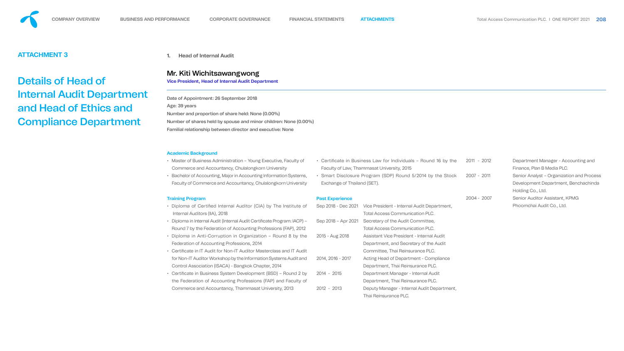- Master of Business Administration Young Executive, Faculty of Commerce and Accountancy, Chulalongkorn University
- Bachelor of Accounting, Major in Accounting Information Syst Faculty of Commerce and Accountancy, Chulalongkorn Unive

# <span id="page-15-0"></span>**ATTACHMENT 3**

# Details of Head of Internal Audit Department and Head of Ethics and Compliance Department

#### **Academic Background**

#### **Training Program**

- Diploma of Certified Internal Auditor (CIA) by The Institu Internal Auditors (IIA), 2018
- Diploma in Internal Audit (Internal Audit Certificate Program: IA Round 7 by the Federation of Accounting Professions (FAP),
- Diploma in Anti-Corruption in Organization Round 8 by Federation of Accounting Professions, 2014
- Certificate in IT Audit for Non-IT Auditor Masterclass and IT for Non-IT Auditor Workshop by the Information Systems Audit Control Association (ISACA) - Bangkok Chapter, 2014
- Certificate in Business System Development (BSD) Round the Federation of Accounting Professions (FAP) and Facu Commerce and Accountancy, Thammasat University, 2013

| ty of                              |                             | • Certificate in Business Law for Individuals - Round 16 by the | $2011 - 2012$ | Department Manager - Accounting and     |
|------------------------------------|-----------------------------|-----------------------------------------------------------------|---------------|-----------------------------------------|
|                                    |                             | Faculty of Law, Thammasat University, 2015                      |               | Finance, Plan B Media PLC.              |
| tems,                              |                             | • Smart Disclosure Program (SDP) Round 5/2014 by the Stock      | 2007 - 2011   | Senior Analyst - Organization and Proce |
| ersity                             | Exchange of Thailand (SET). |                                                                 |               | Development Department, Benchaching     |
|                                    |                             |                                                                 |               | Holding Co., Ltd.                       |
|                                    | <b>Past Experience</b>      |                                                                 | 2004 - 2007   | Senior Auditor Assistant, KPMG          |
| ite of                             |                             | Sep 2018 - Dec 2021 Vice President - Internal Audit Department, |               | Phoomchai Audit Co., Ltd.               |
|                                    |                             | <b>Total Access Communication PLC.</b>                          |               |                                         |
| $\mathsf{C}\mathsf{P}\mathsf{P}$ – | Sep 2018 - Apr 2021         | Secretary of the Audit Committee,                               |               |                                         |
| 2012                               |                             | <b>Total Access Communication PLC.</b>                          |               |                                         |
| y the                              | 2015 - Aug 2018             | <b>Assistant Vice President - Internal Audit</b>                |               |                                         |
|                                    |                             | Department, and Secretary of the Audit                          |               |                                         |
| Audit                              |                             | Committee, Thai Reinsurance PLC.                                |               |                                         |
| it and                             | 2014, 2016 - 2017           | Acting Head of Department - Compliance                          |               |                                         |
|                                    |                             | Department, Thai Reinsurance PLC.                               |               |                                         |
| $12$ by                            | $2014 - 2015$               | Department Manager - Internal Audit                             |               |                                         |
| llty of                            |                             | Department, Thai Reinsurance PLC.                               |               |                                         |
|                                    | 2012 - 2013                 | Deputy Manager - Internal Audit Department,                     |               |                                         |
|                                    |                             | Thai Reinsurance PLC.                                           |               |                                         |





Date of Appointment: 26 September 2018 Age: 39 years Number and proportion of share held: None (0.00%)

Number of shares held by spouse and minor children: None (0.00%) Familial relationship between director and executive: None

**1. Head of Internal Audit**

# Mr. Kiti Wichitsawangwong

**Vice President, Head of Internal Audit Department**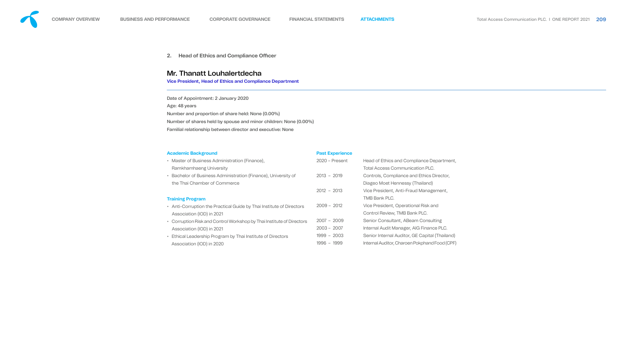- Master of Business Administration (Finance), Ramkhamhaeng University
- Bachelor of Business Administration (Finance), University of the Thai Chamber of Commerce

- Anti-Corruption the Practical Guide by Thai Institute of Directors Association (IOD) in 2021
- Corruption Risk and Control Workshop by Thai Institute of Directors Association (IOD) in 2021
- Ethical Leadership Program by Thai Institute of Directors Association (IOD) in 2020



#### **Training Program**

#### **Past Experience**

|         | $2020$ – Present | Head of Ethics and Compliance Department,      |
|---------|------------------|------------------------------------------------|
|         |                  | <b>Total Access Communication PLC.</b>         |
| Эf      | $2013 - 2019$    | Controls, Compliance and Ethics Director,      |
|         |                  | Diageo Moet Hennessy (Thailand)                |
|         | $2012 - 2013$    | Vice President, Anti-Fraud Management,         |
|         |                  | <b>TMB Bank PLC.</b>                           |
| ctors:  | $2009 - 2012$    | Vice President, Operational Risk and           |
|         |                  | Control Review, TMB Bank PLC.                  |
| rectors | $2007 - 2009$    | Senior Consultant, ABeam Consulting            |
|         | $2003 - 2007$    | Internal Audit Manager, AIG Finance PLC.       |
|         | $1999 - 2003$    | Senior Internal Auditor, GE Capital (Thailand) |
|         | 1996 - 1999      | Internal Auditor, Charoen Pokphand Food (CPF)  |
|         |                  |                                                |



Date of Appointment: 2 January 2020 Age: 48 years Number and proportion of share held: None (0.00%)

Number of shares held by spouse and minor children: None (0.00%) Familial relationship between director and executive: None

**2. Head of Ethics and Compliance Officer**

## Mr. Thanatt Louhalertdecha

**Vice President, Head of Ethics and Compliance Department**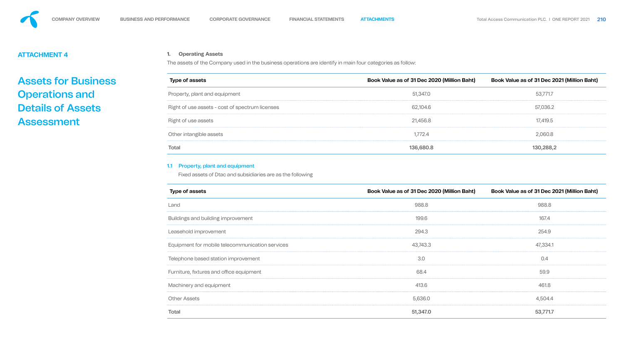<span id="page-17-0"></span>

# **ATTACHMENT 4**

# Assets for Business Operations and Details of Assets Assessment

#### **1. Operating Assets**

The assets of the Company used in the business operations are identify in main four categories as follow:

| Book Value as of 31 Dec 2020 (Million Baht) | Book Value as of 31 Dec 2021 (Million Baht) |
|---------------------------------------------|---------------------------------------------|
| 51,347.0                                    | 53,771.7                                    |
| 62,104.6                                    | 57,036.2                                    |
| 21,456.8                                    | 17,419.5                                    |
| 1,772.4                                     | 2,060.8                                     |
| 136,680.8                                   | 130,288,2                                   |
|                                             |                                             |

#### 1.1 Property, plant and equipment

Fixed assets of Dtac and subsidiaries are as the following

| <b>Type of assets</b>                           | Book Value as of 31 Dec 2020 (Million Baht) | Book Value as of 31 Dec 2021 (Million Baht) |
|-------------------------------------------------|---------------------------------------------|---------------------------------------------|
| Land                                            | 988.8                                       | 988.8                                       |
| Buildings and building improvement              | 199.6                                       | 167.4                                       |
| Leasehold improvement                           | 294.3                                       | 254.9                                       |
| Equipment for mobile telecommunication services | 43,743.3                                    | 47,334.1                                    |
| Telephone based station improvement             | 3.0                                         | 0.4                                         |
| Furniture, fixtures and office equipment        | 68.4                                        | 59.9                                        |
| Machinery and equipment                         | 413.6                                       | 461.8                                       |
| <b>Other Assets</b>                             | 5,636.0                                     | 4,504.4                                     |
| <b>Total</b>                                    | 51,347.0                                    | 53,771.7                                    |

| 40 |  |
|----|--|
|    |  |





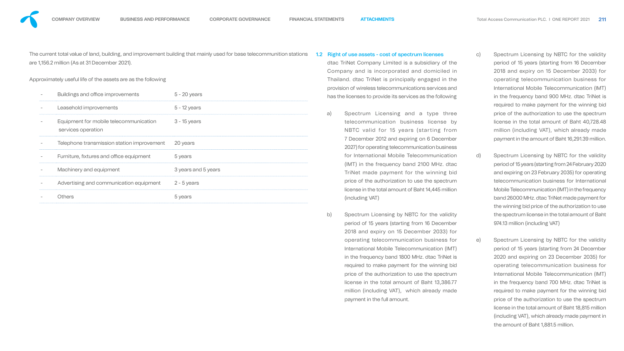The current total value of land, building, and improvement building that mainly used for base telecommunition stations are 1,156.2 million (As at 31 December 2021).

Approximately useful life of the assets are as the following

| Buildings and office improvements                            | $5 - 20$ years      |
|--------------------------------------------------------------|---------------------|
| Leasehold improvements                                       | $5 - 12$ years      |
| Equipment for mobile telecommunication<br>services operation | $3 - 15$ years      |
| Telephone transmission station improvement                   | 20 years            |
| Furniture, fixtures and office equipment                     | 5 years             |
| Machinery and equipment                                      | 3 years and 5 years |
| Advertising and communication equipment                      | $2 - 5$ years       |
| Others                                                       | 5 years             |
|                                                              |                     |

- 1.2 Right of use assets cost of spectrum licenses dtac TriNet Company Limited is a subsidiary of the Company and is incorporated and domiciled in Thailand. dtac TriNet is principally engaged in the provision of wireless telecommunications services and has the licenses to provide its services as the following
	- a) Spectrum Licensing and a type three telecommunication business license by NBTC valid for 15 years (starting from 7 December 2012 and expiring on 6 December 2027) for operating telecommunication business for International Mobile Telecommunication (IMT) in the frequency band 2100 MHz. dtac TriNet made payment for the winning bid price of the authorization to use the spectrum license in the total amount of Baht 14,445 million (including VAT)
	- b) Spectrum Licensing by NBTC for the validity period of 15 years (starting from 16 December 2018 and expiry on 15 December 2033) for operating telecommunication business for International Mobile Telecommunication (IMT) in the frequency band 1800 MHz. dtac TriNet is required to make payment for the winning bid price of the authorization to use the spectrum license in the total amount of Baht 13,386.77 million (including VAT), which already made payment in the full amount.
- c) Spectrum Licensing by NBTC for the validity period of 15 years (starting from 16 December 2018 and expiry on 15 December 2033) for operating telecommunication business for International Mobile Telecommunication (IMT) in the frequency band 900 MHz. dtac TriNet is required to make payment for the winning bid price of the authorization to use the spectrum license in the total amount of Baht 40,728.48 million (including VAT), which already made payment in the amount of Baht 16,291.39 million.
- d) Spectrum Licensing by NBTC for the validity period of 15 years (starting from 24 February 2020 and expiring on 23 February 2035) for operating telecommunication business for International Mobile Telecommunication (IMT) in the frequency band 26000 MHz. dtac TriNet made payment for the winning bid price of the authorization to use the spectrum license in the total amount of Baht 974.13 million (including VAT)
- e) Spectrum Licensing by NBTC for the validity period of 15 years (starting from 24 December 2020 and expiring on 23 December 2035) for operating telecommunication business for International Mobile Telecommunication (IMT) in the frequency band 700 MHz. dtac TriNet is required to make payment for the winning bid price of the authorization to use the spectrum license in the total amount of Baht 18,815 million (including VAT), which already made payment in the amount of Baht 1,881.5 million.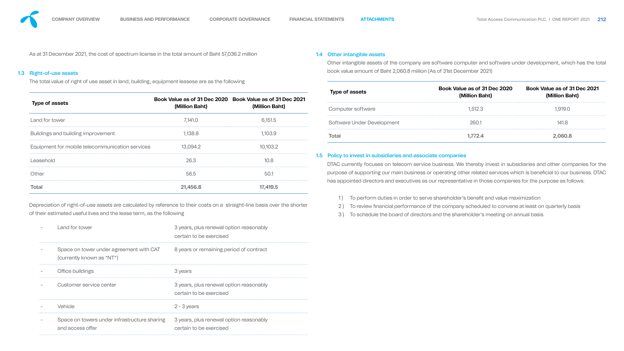

As at 31 December 2021, the cost of spectrum license in the total amount of Baht 57,036.2 million

#### 1.3 Right-of-use assets

The total value of right of use asset in land, building, equipment leasese are as the following

Depreciation of right-of-use assets are calculated by reference to their costs on a straight-line basis over the shorter of their estimated useful lives and the lease term, as the following

DTAC currently focuses on telecom service business. We thereby invest in subsidiaries and other companies for the purpose of supporting our main business or operating other related services which is beneficial to our business. DTAC

| Land for tower                                                       | 3 years, plus renewal option reasonably<br>certain to be exercised |
|----------------------------------------------------------------------|--------------------------------------------------------------------|
| Space on tower under agreement with CAT<br>(currently known as "NT") | 8 years or remaining period of contract                            |
| Office buildings                                                     | 3 years                                                            |
| Customer service center                                              | 3 years, plus renewal option reasonably<br>certain to be exercised |
| Vehicle                                                              | $2 - 3$ years                                                      |
| Space on towers under infrastructure sharing<br>and access offer     | 3 years, plus renewal option reasonably<br>certain to be exercised |

- 1) To perform duties in order to serve shareholder's benefit and value maximization
- 2) To review financial performance of the company scheduled to convene at least on quarterly basis
- 3 ) To schedule the board of directors and the shareholder's meeting on annual basis

|                                                 |                |                                                                             | <b>Type of assets</b>                                        | Book Value as of 31 Dec 2020<br>(Million Baht)                                                                | <b>Book Value as of 31 Dec</b><br>(Million Baht) |
|-------------------------------------------------|----------------|-----------------------------------------------------------------------------|--------------------------------------------------------------|---------------------------------------------------------------------------------------------------------------|--------------------------------------------------|
| <b>Type of assets</b>                           | (Million Baht) | Book Value as of 31 Dec 2020 Book Value as of 31 Dec 2021<br>(Million Baht) | Computer software                                            | 1,512.3                                                                                                       | 1,919.0                                          |
| Land for tower                                  | 7,141.0        | 6,151.5                                                                     | Software Under Development                                   | 260.1                                                                                                         | 141.8                                            |
| Buildings and building improvement              | 1,138.8        | 1,103.9                                                                     | <b>Total</b>                                                 | 1,772.4                                                                                                       | 2,060.8                                          |
| Equipment for mobile telecommunication services | 13,094.2       | 10,103.2                                                                    |                                                              |                                                                                                               |                                                  |
| Leasehold                                       | 26.3           | 10.8                                                                        | 1.5 Policy to invest in subsidiaries and associate companies | DTAC currently focuses on telecom service business. We thereby invest in subsidiaries and other companie      |                                                  |
| Other                                           | 56.5           | 50.1                                                                        |                                                              | purpose of supporting our main business or operating other related services which is beneficial to our busine |                                                  |
| <b>Total</b>                                    | 21,456.8       | 17,419.5                                                                    |                                                              | has appointed directors and executives as our representative in those companies for the purpose as follows:   |                                                  |

#### 1.4 Other intangible assets

Other intangible assets of the company are software computer and software under development, which has the total book value amount of Baht 2,060.8 miliion (As of 31st December 2021)

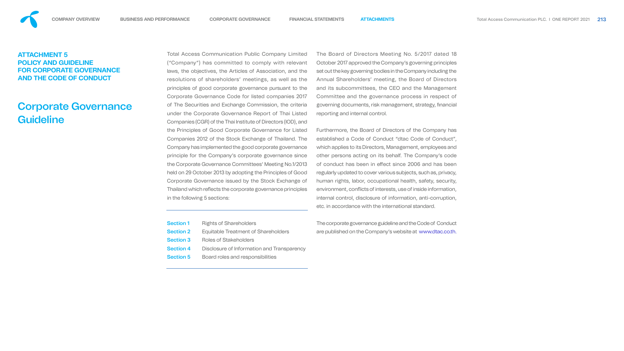Total Access Communication Public Company Limited ("Company") has committed to comply with relevant laws, the objectives, the Articles of Association, and the resolutions of shareholders' meetings, as well as the principles of good corporate governance pursuant to the Corporate Governance Code for listed companies 2017 of The Securities and Exchange Commission, the criteria under the Corporate Governance Report of Thai Listed Companies (CGR) of the Thai Institute of Directors (IOD), and the Principles of Good Corporate Governance for Listed Companies 2012 of the Stock Exchange of Thailand. The Company has implemented the good corporate governance principle for the Company's corporate governance since the Corporate Governance Committees' Meeting No.1/2013 held on 29 October 2013 by adopting the Principles of Good Corporate Governance issued by the Stock Exchange of Thailand which reflects the corporate governance principles in the following 5 sections: The Board of Directors Meeting No. 5/2017 dated 18 October 2017 approved the Company's governing principles set out the key governing bodies in the Company including the Annual Shareholders' meeting, the Board of Directors and its subcommittees, the CEO and the Management Committee and the governance process in respect of governing documents, risk management, strategy, financial reporting and internal control. Furthermore, the Board of Directors of the Company has established a Code of Conduct "dtac Code of Conduct", which applies to its Directors, Management, employees and other persons acting on its behalf. The Company's code of conduct has been in effect since 2006 and has been regularly updated to cover various subjects, such as, privacy, human rights, labor, occupational health, safety, security, environment, conflicts of interests, use of inside information, internal control, disclosure of information, anti-corruption, etc. in accordance with the international standard.

| <b>Section 1</b> | <b>Rights of Shareholders</b>              |
|------------------|--------------------------------------------|
| <b>Section 2</b> | Equitable Treatment of Shareholders        |
| <b>Section 3</b> | Roles of Stakeholders                      |
| <b>Section 4</b> | Disclosure of Information and Transparency |
| <b>Section 5</b> | Board roles and responsibilities           |
|                  |                                            |

# Corporate Governance **Guideline**

The corporate governance guideline and the Code of Conduct are published on the Company's website at www.dtac.co.th.

# <span id="page-20-0"></span>**ATTACHMENT 5 POLICY AND GUIDELINE FOR CORPORATE GOVERNANCE AND THE CODE OF CONDUCT**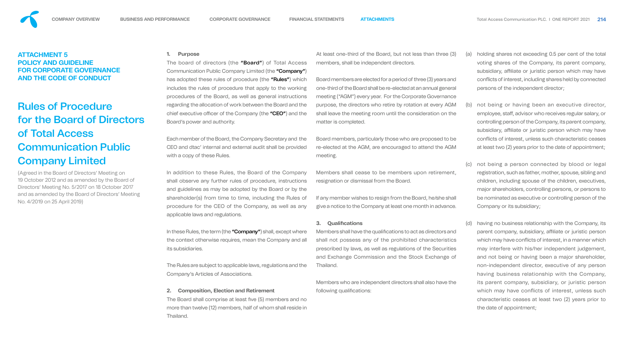#### **1. Purpose**

The board of directors (the "**Board"**) of Total  $\beta$ Communication Public Company Limited (the "Com has adopted these rules of procedure (the "Rules" includes the rules of procedure that apply to the w procedures of the Board, as well as general instru regarding the allocation of work between the Board and the chief executive officer of the Company (the "CEO") Board's power and authority.

Each member of the Board, the Company Secretary and the Roard, the Company Secretary and the Roard CEO and dtac' internal and external audit shall be provided. with a copy of these Rules.

In addition to these Rules, the Board of the Corpany shall observe any further rules of procedure, instri and guidelines as may be adopted by the Board or shareholder(s) from time to time, including the R procedure for the CEO of the Company, as well applicable laws and regulations.

In these Rules, the term (the "Company") shall, except where the context otherwise requires, mean the Company and all its subsidiaries. The Rules are subject to applicable laws, regulations and the Company's Articles of Associations.

The Board shall comprise at least five (5) members and no more than twelve (12) members, half of whom shall reside in Thailand.

Members who are independent directors shall also have the following qualifications:

#### **2. Composition, Election and Retirement**

|                    | At least one-third of the Board, but not less than three (3)                                                                    | (a) |
|--------------------|---------------------------------------------------------------------------------------------------------------------------------|-----|
| Access             | members, shall be independent directors.                                                                                        |     |
| pany")             |                                                                                                                                 |     |
| ) which            | Board members are elected for a period of three (3) years and                                                                   |     |
| vorking            | one-third of the Board shall be re-elected at an annual general                                                                 |     |
| uctions            | meeting ("AGM") every year. For the Corporate Governance                                                                        |     |
| and the            | purpose, the directors who retire by rotation at every AGM                                                                      | (b) |
| and the            | shall leave the meeting room until the consideration on the<br>matter is completed.                                             |     |
| and the<br>rovided | Board members, particularly those who are proposed to be<br>re-elected at the AGM, are encouraged to attend the AGM<br>meeting. |     |
| mpany              | Members shall cease to be members upon retirement,                                                                              | (c) |
| uctions            | resignation or dismissal from the Board.                                                                                        |     |
| by the             |                                                                                                                                 |     |
| lules of           | If any member wishes to resign from the Board, he/she shall                                                                     |     |
| as any             | give a notice to the Company at least one month in advance.                                                                     |     |
|                    | <b>Qualifications</b><br>3.                                                                                                     | (d) |
| it where           | Members shall have the qualifications to act as directors and                                                                   |     |

- holding shares not exceeding 0.5 per cent of the total voting shares of the Company, its parent company, subsidiary, affiliate or juristic person which may have conflicts of interest, including shares held by connected persons of the independent director;
- not being or having been an executive director, employee, staff, advisor who receives regular salary, or controlling person of the Company, its parent company, subsidiary, affiliate or juristic person which may have conflicts of interest, unless such characteristic ceases at least two (2) years prior to the date of appointment;
- not being a person connected by blood or legal registration, such as father, mother, spouse, sibling and children, including spouse of the children, executives, major shareholders, controlling persons, or persons to be nominated as executive or controlling person of the Company or its subsidiary;
- having no business relationship with the Company, its parent company, subsidiary, affiliate or juristic person which may have conflicts of interest, in a manner which may interfere with his/her independent judgement, and not being or having been a major shareholder, non-independent director, executive of any person having business relationship with the Company, its parent company, subsidiary, or juristic person which may have conflicts of interest, unless such characteristic ceases at least two (2) years prior to the date of appointment;

Members shall have the qualications to act as directors and shall not possess any of the prohibited characteristics prescribed by laws, as well as regulations of the Securities and Exchange Commission and the Stock Exchange of Thailand.

# **ATTACHMENT 5 POLICY AND GUIDELINE FOR CORPORATE GOVERNANCE AND THE CODE OF CONDUCT**

# Rules of Procedure for the Board of Directors of Total Access Communication Public Company Limited

(Agreed in the Board of Directors' Meeting on 19 October 2012 and as amended by the Board of Directors' Meeting No. 5/2017 on 18 October 2017 and as amended by the Board of Directors' Meeting No. 4/2019 on 25 April 2019)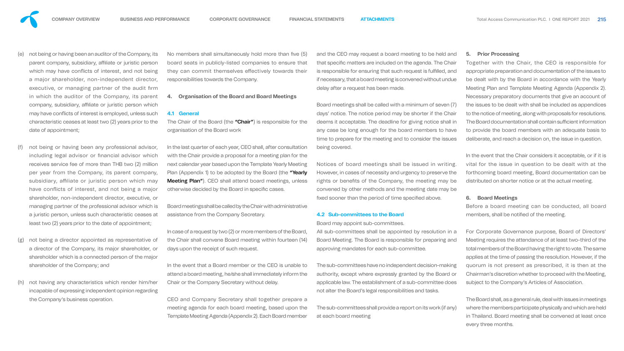- not being or having been an auditor of the Company, its parent company, subsidiary, affiliate or juristic person which may have conflicts of interest, and not being a major shareholder, non-independent director, executive, or managing partner of the audit firm in which the auditor of the Company, its parent company, subsidiary, affiliate or juristic person which may have conflicts of interest is employed, unless such characteristic ceases at least two (2) years prior to the date of appointment;
- not being or having been any professional advisor, including legal advisor or financial advisor which receives service fee of more than THB two (2) million per year from the Company, its parent company, subsidiary, affiliate or juristic person which may have conflicts of interest, and not being a major shareholder, non-independent director, executive, or managing partner of the professional advisor which is a juristic person, unless such characteristic ceases at least two (2) years prior to the date of appointment;
- not being a director appointed as representative of a director of the Company, its major shareholder, or shareholder which is a connected person of the major shareholder of the Company; and
- (h) not having any characteristics which render him/her incapable of expressing independent opinion regarding the Company's business operation.

No members shall simultaneously hold more than five board seats in publicly-listed companies to ensure they can commit themselves effectively towards responsibilities towards the Company.

with the Chair provide a proposal for a meeting plan for the next calendar year based upon the Template Yearly Meeting Plan (Appendix 1) to be adopted by the Board (the "Yearly Meeting Plan"). CEO shall attend board meetings, unless otherwise decided by the Board in specific cases.

Notices of board meetings shall be issued in writing. However, in cases of necessity and urgency to preserve the rights or benefits of the Company, the meeting may be convened by other methods and the meeting date may be fixed sooner than the period of time specified above.

#### **4. Organisation of the Board and Board Meetings**

Board meetings shall be called by the Chair with administrative assistance from the Company Secretary.

In case of a request by two (2) or more members of the Board, the Chair shall convene Board meeting within fourteen (14) days upon the receipt of such request.

In the event that the Chair considers it acceptable, or if it is vital for the issue in question to be dealt with at the forthcoming board meeting, Board documentation can be distributed on shorter notice or at the actual meeting.

Before a board meeting can be conducted, all board members, shall be notified of the meeting.

**4.1 General**  The Chair of the Board (the "Chair") is responsible for the organisation of the Board work In the last quarter of each year, CEO shall, after consultation Board meetings shall be called with a minimum of seven (7) days' notice. The notice period may be shorter if the Chair deems it acceptable. The deadline for giving notice shall in any case be long enough for the board members to have time to prepare for the meeting and to consider the issues being covered.

| ve (5) | and the CEO may request a board meeting to be held and                                  |
|--------|-----------------------------------------------------------------------------------------|
| e that | that specific matters are included on the agenda. The Chair                             |
| their  | is responsible for ensuring that such request is fulfilled, and                         |
|        | if necessary, that a board meeting is convened without undue                            |
|        | delay after a request has been made.                                                    |
| S      |                                                                                         |
|        | $\Box$ e euslus e estimato elem Unión de lla el cultura períodicación e el escuero (7). |

In the event that a Board member or the CEO is unable to attend a board meeting, he/she shall immediately inform the Chair or the Company Secretary without delay. The sub-committees have no independent decision-making authority, except where expressly granted by the Board or applicable law. The establishment of a sub-committee does not alter the Board's legal responsibilities and tasks.

CEO and Company Secretary shall together prepare a meeting agenda for each board meeting, based upon the Template Meeting Agenda (Appendix 2). Each Board member The sub-committees shall provide a report on its work (if any) at each board meeting

### **4.2 Sub-committees to the Board**

Board may appoint sub-committees.

All sub-committees shall be appointed by resolution in a Board Meeting. The Board is responsible for preparing and approving mandates for each sub-committee.

#### **5. Prior Processing**

Together with the Chair, the CEO is responsible for appropriate preparation and documentation of the issues to be dealt with by the Board in accordance with the Yearly Meeting Plan and Template Meeting Agenda (Appendix 2). Necessary preparatory documents that give an account of the issues to be dealt with shall be included as appendices to the notice of meeting, along with proposals for resolutions. The Board documentation shall contain sufficient information to provide the board members with an adequate basis to deliberate, and reach a decision on, the issue in question.

### **6. Board Meetings**

For Corporate Governance purpose, Board of Directors' Meeting requires the attendance of at least two-third of the total members of the Board having the right to vote. The same applies at the time of passing the resolution. However, if the quorum is not present as prescribed, it is then at the Chairman's discretion whether to proceed with the Meeting, subject to the Company's Articles of Association.

The Board shall, as a general rule, deal with issues in meetings where the members participate physically and which are held in Thailand. Board meeting shall be convened at least once every three months.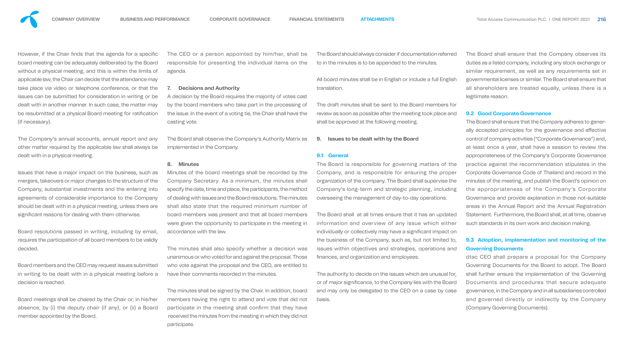However, if the Chair finds that the agenda for a specific board meeting can be adequately deliberated by the Board without a physical meeting, and this is within the limits of applicable law, the Chair can decide that the attendance may take place via video or telephone conference, or that the issues can be submitted for consideration in writing or be dealt with in another manner. In such case, the matter may be resubmitted at a physical Board meeting for ratification (if necessary).

Issues that have a major impact on the business, such as mergers, takeovers or major changes to the structure of the Company, substantial investments and the entering into agreements of considerable importance to the Company should be dealt with in a physical meeting, unless there are significant reasons for dealing with them otherwise.

The Company's annual accounts, annual report and any other matter required by the applicable law shall always be dealt with in a physical meeting.

The CEO or a person appointed by him/her, shall responsible for presenting the individual items on agenda.

A decision by the Board requires the majority of votes by the board members who take part in the process the issue. In the event of a voting tie, the Chair shall have casting vote.

Board resolutions passed in writing, including by email, requires the participation of all board members to be validly decided.

Board members and the CEO may request issues submitted in writing to be dealt with in a physical meeting before a decision is reached.

Board meetings shall be chaired by the Chair or, in his/her absence, by (i) the deputy chair (if any), or (ii) a Board member appointed by the Board.

#### **7. Decisions and Authority**

#### **8. Minutes**

Minutes of the board meetings shall be recorded by the Company Secretary. As a minimum, the minutes shall specify the date, time and place, the participants, the method of dealing with issues and the Board resolutions. The minutes shall also state that the required minimum number of board members was present and that all board members were given the opportunity to participate in the meeting in accordance with the law.

The minutes shall also specify whether a decision was unanimous or who voted for and against the proposal. Those who vote against the proposal and the CEO, are entitled to have their comments recorded in the minutes.

The Board shall observe the Company's Authority Matrix as implemented in the Company. **9. Issues to be dealt with by the Board**

The minutes shall be signed by the Chair. In addition, board members having the right to attend and vote that did not basis. participate in the meeting shall confirm that they have received the minutes from the meeting in which they did not participate.

| all be  | The Board should always consider if documentation referred                      |
|---------|---------------------------------------------------------------------------------|
| on the  | to in the minutes is to be appended to the minutes.                             |
|         | All board minutes shall be in English or include a full English<br>translation. |
| s cast  |                                                                                 |
| sing of | The draft minutes shall be sent to the Board members for                        |
| ve the  | review as soon as possible after the meeting took place and                     |
|         | shall be approved at the following meeting.                                     |
|         |                                                                                 |

#### **9.1 General**

The Board is responsible for governing matters of the Company, and is responsible for ensuring the proper organization of the company. The Board shall supervise the Company's long-term and strategic planning, including overseeing the management of day-to-day operations.

The Board shall at all times ensure that it has an updated information and overview of any issue which either individually or collectively may have a significant impact on the business of the Company, such as, but not limited to, issues within objectives and strategies, operations and nances, and organization and employees.

The authority to decide on the issues which are unusual for, or of major significance, to the Company lies with the Board and may only be delegated to the CEO on a case by case

The Board shall ensure that the Company observes its duties as a listed company, including any stock exchange or similar requirement, as well as any requirements set in governmental licenses or similar. The Board shall ensure that all shareholders are treated equally, unless there is a legitimate reason.

#### **9.2 Good Corporate Governance**

The Board shall ensure that the Company adheres to generally accepted principles for the governance and effective control of company activities ("Corporate Governance") and, at least once a year, shall have a session to review the appropriateness of the Company's Corporate Governance practice against the recommendation stipulates in the Corporate Governance Code of Thailand and record in the minutes of the meeting, and publish the Board's opinion on the appropriateness of the Company's Corporate Governance and provide explanation in those not-suitable areas in the Annual Report and the Annual Registration Statement. Furthermore, the Board shall, at all time, observe such standards in its own work and decision making.

## **9.3 Adoption, implementation and monitoring of the Governing Documents**

dtac CEO shall prepare a proposal for the Company Governing Documents for the Board to adopt. The Board shall further ensure the implementation of the Governing Documents and procedures that secure adequate governance, in the Company and in all subsidiaries controlled and governed directly or indirectly by the Company (Company Governing Documents).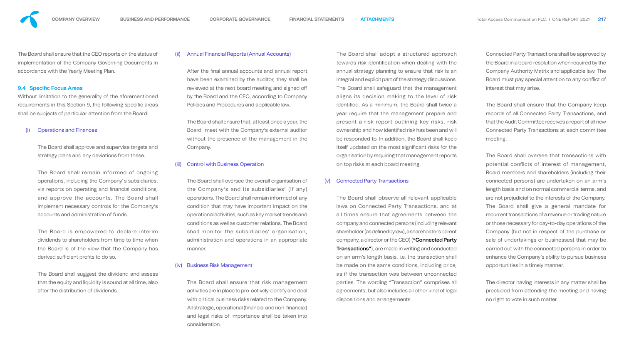The Board shall ensure that the CEO reports on the status of implementation of the Company Governing Documents in accordance with the Yearly Meeting Plan.

#### **9.4 Specific Focus Areas**

Without limitation to the generality of the aforementioned requirements in this Section 9, the following specific areas shall be subjects of particular attention from the Board:

#### **Operations and Finances**

The Board is empowered to declare interim dividends to shareholders from time to time when the Board is of the view that the Company has derived sufficient profits to do so.

The Board shall approve and supervise targets and strategy plans and any deviations from these.

After the final annual accounts and annual report have been examined by the auditor, they shall be reviewed at the next board meeting and signed o by the Board and the CEO, according to Company Policies and Procedures and applicable law.

The Board shall remain informed of ongoing operations, including the Company´s subsidiaries, via reports on operating and financial conditions, and approve the accounts. The Board shall implement necessary controls for the Company's accounts and administration of funds.

The Board shall suggest the dividend and assess that the equity and liquidity is sound at all time, also after the distribution of dividends.

#### (ii) Annual Financial Reports (Annual Accounts)

The Board shall ensure that, at least once a year, the Board meet with the Company's external auditor without the presence of the management in the Company.

#### (iii) Control with Business Operation

The Board shall oversee the overall organisation of the Company's and its subsidiaries' (if any) operations. The Board shall remain informed of any condition that may have important impact on the operational activities, such as key market trends and conditions as well as customer relations. The Board shall monitor the subsidiaries' organisation, administration and operations in an appropriate manner.

#### (iv) Business Risk Management

The Board shall ensure that risk management activities are in place to pro-actively identify and deal with critical business risks related to the Company. All strategic, operational (financial and non-financial) and legal risks of importance shall be taken into consideration.

The Board shall adopt a structured approach towards risk identification when dealing with the annual strategy planning to ensure that risk is an integral and explicit part of the strategy discussions. The Board shall safeguard that the management aligns its decision making to the level of risk identified. As a minimum, the Board shall twice a year require that the management prepare and present a risk report outlining key risks, risk ownership and how identified risk has been and will be responded to. In addition, the Board shall keep itself updated on the most significant risks for the organisation by requiring that management reports on top risks at each board meeting.

#### (v) Connected Party Transactions

The Board shall observe all relevant applicable laws on Connected Party Transactions, and at all times ensure that agreements between the company and connected persons (including relevant shareholder (as defined by law), a shareholder's parent company, a director or the CEO) ("Connected Party Transactions"), are made in writing and conducted on an arm's length basis, i.e. the transaction shall be made on the same conditions, including price, as if the transaction was between unconnected parties. The wording "Transaction" comprises all agreements, but also includes all other kind of legal dispositions and arrangements.

Connected Party Transactions shall be approved by the Board in a board resolution when required by the Company Authority Matrix and applicable law. The Board must pay special attention to any conflict of interest that may arise.

The Board shall ensure that the Company keep records of all Connected Party Transactions, and that the Audit Committee receives a report of all new Connected Party Transactions at each committee meeting.

The Board shall oversee that transactions with potential conflicts of interest of management, Board members and shareholders (including their connected persons) are undertaken on an arm's length basis and on normal commercial terms, and are not prejudicial to the interests of the Company. The Board shall give a general mandate for recurrent transactions of a revenue or trading nature or those necessary for day-to-day operations of the Company (but not in respect of the purchase or sale of undertakings or businesses) that may be carried out with the connected persons in order to enhance the Company's ability to pursue business opportunities in a timely manner.

The director having interests in any matter shall be precluded from attending the meeting and having no right to vote in such matter.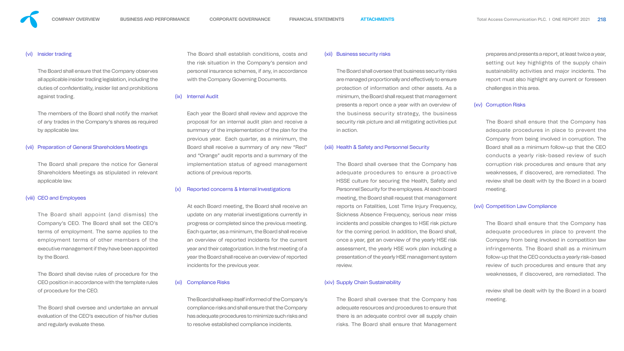(vi) Insider trading

The Board shall ensure that the Company observes all applicable insider trading legislation, including the duties of confidentiality, insider list and prohibitions against trading.

The members of the Board shall notify the market of any trades in the Company's shares as required by applicable law.

#### (vii) Preparation of General Shareholders Meetings

The Board shall prepare the notice for General Shareholders Meetings as stipulated in relevant applicable law.

#### (viii) CEO and Employees

The Board shall appoint (and dismiss) the Company's CEO. The Board shall set the CEO's terms of employment. The same applies to the employment terms of other members of the executive management if they have been appointed by the Board.

The Board shall devise rules of procedure for the CEO position in accordance with the template rules of procedure for the CEO.

The Board shall oversee and undertake an annual evaluation of the CEO's execution of his/her duties and regularly evaluate these.

The Board shall establish conditions, costs and the risk situation in the Company's pension and personal insurance schemes, if any, in accordance with the Company Governing Documents.

#### (ix) Internal Audit

Each year the Board shall review and approve the proposal for an internal audit plan and receive a summary of the implementation of the plan for the previous year. Each quarter, as a minimum, the Board shall receive a summary of any new "Red" and "Orange" audit reports and a summary of the implementation status of agreed management actions of previous reports.

#### Reported concerns & Internal Investigations

At each Board meeting, the Board shall receive an update on any material investigations currently in progress or completed since the previous meeting. Each quarter, as a minimum, the Board shall receive an overview of reported incidents for the current year and their categorization. In the first meeting of a year the Board shall receive an overview of reported incidents for the previous year.

#### (xi) Compliance Risks

The Board shall keep itself informed of the Company's compliance risks and shall ensure that the Company has adequate procedures to minimize such risks and to resolve established compliance incidents.

#### (xii) Business security risks

The Board shall oversee that business security risks are managed proportionally and effectively to ensure protection of information and other assets. As a minimum, the Board shall request that management presents a report once a year with an overview of the business security strategy, the business security risk picture and all mitigating activities put in action.

#### (xiii) Health & Safety and Personnel Security

The Board shall oversee that the Company has adequate procedures to ensure a proactive HSSE culture for securing the Health, Safety and Personnel Security for the employees. At each board meeting, the Board shall request that management reports on Fatalities, Lost Time Injury Frequency, Sickness Absence Frequency, serious near miss incidents and possible changes to HSE risk picture for the coming period. In addition, the Board shall, once a year, get an overview of the yearly HSE risk assessment, the yearly HSE work plan including a presentation of the yearly HSE management system review.

#### (xiv) Supply Chain Sustainability

The Board shall oversee that the Company has adequate resources and procedures to ensure that there is an adequate control over all supply chain risks. The Board shall ensure that Management

prepares and presents a report, at least twice a year, setting out key highlights of the supply chain sustainability activities and major incidents. The report must also highlight any current or foreseen challenges in this area.

#### (xv) Corruption Risks

The Board shall ensure that the Company has adequate procedures in place to prevent the Company from being involved in corruption. The Board shall as a minimum follow-up that the CEO conducts a yearly risk-based review of such corruption risk procedures and ensure that any weaknesses, if discovered, are remediated. The review shall be dealt with by the Board in a board meeting.

#### (xvi) Competition Law Compliance

The Board shall ensure that the Company has adequate procedures in place to prevent the Company from being involved in competition law infringements. The Board shall as a minimum follow-up that the CEO conducts a yearly risk-based review of such procedures and ensure that any weaknesses, if discovered, are remediated. The

review shall be dealt with by the Board in a board meeting.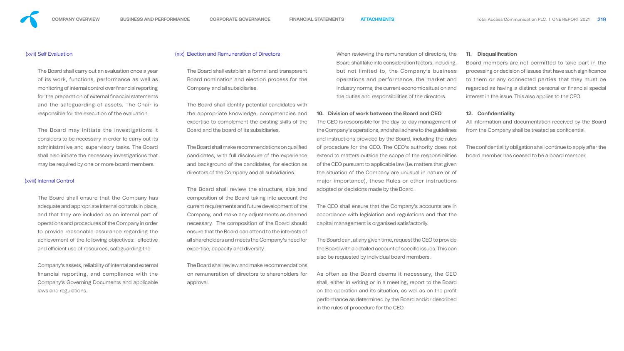

#### (xvii) Self Evaluation

The Board shall carry out an evaluation once a year of its work, functions, performance as well as monitoring of internal control over financial reporting for the preparation of external financial statements and the safeguarding of assets. The Chair is responsible for the execution of the evaluation.

The Board shall ensure that the Company has adequate and appropriate internal controls in place, and that they are included as an internal part of operations and procedures of the Company in order to provide reasonable assurance regarding the achievement of the following objectives: effective and efficient use of resources, safeguarding the

The Board may initiate the investigations it considers to be necessary in order to carry out its administrative and supervisory tasks. The Board shall also initiate the necessary investigations that may be required by one or more board members.

The Board shall establish a formal and transparer Board nomination and election process for the Company and all subsidiaries.

#### (xviii) Internal Control

Company's assets, reliability of internal and external nancial reporting, and compliance with the Company's Governing Documents and applicable laws and regulations.

#### (xix) Election and Remuneration of Directors

The Board shall identify potential candidates with the appropriate knowledge, competencies and Board and the board of its subsidiaries.

|    | When reviewing the remuneration of directors, the       |
|----|---------------------------------------------------------|
|    | Board shall take into consideration factors, including, |
| nt | but not limited to, the Company's business              |
| ٦e | operations and performance, the market and              |
|    | industry norms, the current economic situation and      |
|    | the duties and responsibilities of the directors.       |
|    |                                                         |

# Board shall take into consideration factors, including, but not limited to, the Company's business operations and performance, the market and industry norms, the current economic situation and

## **10. Division of work between the Board and CEO**

composition of the Board taking into account the current requirements and future development of the Company, and make any adjustments as deemed necessary. The composition of the Board should ensure that the Board can attend to the interests of all shareholders and meets the Company's need for expertise, capacity and diversity. The CEO shall ensure that the Company's accounts are in accordance with legislation and regulations and that the capital management is organised satisfactorily. The Board can, at any given time, request the CEO to provide the Board with a detailed account of specific issues. This can also be requested by individual board members.

expertise to complement the existing skills of the The Board shall make recommendations on qualified candidates, with full disclosure of the experience and background of the candidates, for election as directors of the Company and all subsidiaries. The Board shall review the structure, size and The CEO is responsible for the day-to-day management of the Company's operations, and shall adhere to the guidelines and instructions provided by the Board, including the rules of procedure for the CEO. The CEO's authority does not extend to matters outside the scope of the responsibilities of the CEO pursuant to applicable law (i.e. matters that given the situation of the Company are unusual in nature or of major importance), these Rules or other instructions adopted or decisions made by the Board. All information and documentation received by the Board from the Company shall be treated as confidential. The confidentiality obligation shall continue to apply after the board member has ceased to be a board member.

The Board shall review and make recommendations on remuneration of directors to shareholders for approval. As often as the Board deems it necessary, the CEO shall, either in writing or in a meeting, report to the Board on the operation and its situation, as well as on the profit performance as determined by the Board and/or described in the rules of procedure for the CEO.

### **11. Disqualification**

Board members are not permitted to take part in the processing or decision of issues that have such significance to them or any connected parties that they must be regarded as having a distinct personal or financial special interest in the issue. This also applies to the CEO.

### **12. Confidentiality**



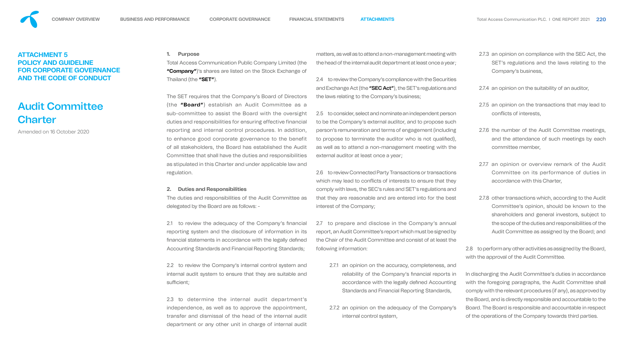#### **2. Duties and Responsibilities**

The duties and responsibilities of the Audit Committee as delegated by the Board are as follows: -

**1. Purpose**  Total Access Communication Public Company Limited (the **"Company"**)'s shares are listed on the Stock Exchange of Thailand (the **"SET"**). matters, as well as to attend a non-management meeting with the head of the internal audit department at least once a year; 2.4 to review the Company's compliance with the Securities

The SET requires that the Company's Board of Directors (the **"Board"**) establish an Audit Committee as a sub-committee to assist the Board with the oversight duties and responsibilities for ensuring effective financial reporting and internal control procedures. In addition, to enhance good corporate governance to the benefit of all stakeholders, the Board has established the Audit Committee that shall have the duties and responsibilities as stipulated in this Charter and under applicable law and regulation. and Exchange Act (the "SEC Act"), the SET's regulations and the laws relating to the Company's business; 2.5 to consider, select and nominate an independent person to be the Company's external auditor, and to propose such person's remuneration and terms of engagement (including to propose to terminate the auditor who is not qualified), as well as to attend a non-management meeting with the external auditor at least once a year;

2.1 to review the adequacy of the Company's financial reporting system and the disclosure of information in its financial statements in accordance with the legally defined Accounting Standards and Financial Reporting Standards; 2.7 to prepare and disclose in the Company's annual report, an Audit Committee's report which must be signed by the Chair of the Audit Committee and consist of at least the following information:

2.3 to determine the internal audit department's independence, as well as to approve the appointment, transfer and dismissal of the head of the internal audit department or any other unit in charge of internal audit

2.2 to review the Company's internal control system and internal audit system to ensure that they are suitable and sufficient; 2.7.1 an opinion on the accuracy, completeness, and reliability of the Company's financial reports in accordance with the legally defined Accounting Standards and Financial Reporting Standards,

# Audit Committee **Charter**

2.6 to review Connected Party Transactions or transactions which may lead to conflicts of interests to ensure that they comply with laws, the SEC's rules and SET's regulations and that they are reasonable and are entered into for the best interest of the Company;

2.7.2 an opinion on the adequacy of the Company's internal control system,

- 2.7.3 an opinion on compliance with the SEC Act, the SET's regulations and the laws relating to the Company's business,
- 2.7.4 an opinion on the suitability of an auditor,
- 2.7.5 an opinion on the transactions that may lead to conflicts of interests,
- 2.7.6 the number of the Audit Committee meetings, and the attendance of such meetings by each committee member,
- 2.7.7 an opinion or overview remark of the Audit Committee on its performance of duties in accordance with this Charter,
- 2.7.8 other transactions which, according to the Audit Committee's opinion, should be known to the shareholders and general investors, subject to the scope of the duties and responsibilities of the Audit Committee as assigned by the Board; and

2.8 to perform any other activities as assigned by the Board, with the approval of the Audit Committee.

In discharging the Audit Committee's duties in accordance with the foregoing paragraphs, the Audit Committee shall comply with the relevant procedures (if any), as approved by the Board, and is directly responsible and accountable to the Board. The Board is responsible and accountable in respect of the operations of the Company towards third parties.







# **ATTACHMENT 5 POLICY AND GUIDELINE FOR CORPORATE GOVERNANCE AND THE CODE OF CONDUCT**

Amended on 16 October 2020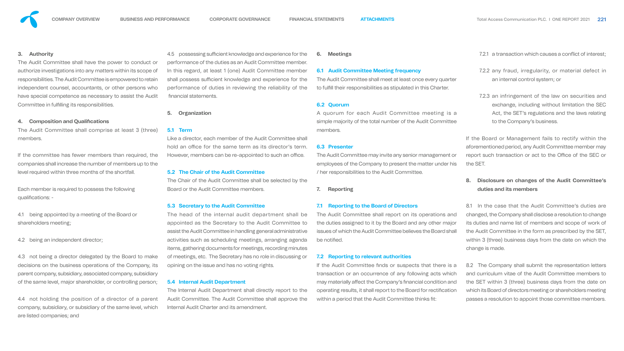The Audit Committee shall have the power to conduct or authorize investigations into any matters within its scope of responsibilities. The Audit Committee is empowered to retain independent counsel, accountants, or other persons who have special competence as necessary to assist the Audit Committee in fulfilling its responsibilities.



Each member is required to possess the following qualifications: -

#### **4. Composition and Qualifications**

The Audit Committee shall comprise at least 3 (three) members.

If the committee has fewer members than required, the companies shall increase the number of members up to the level required within three months of the shortfall.

Like a director, each member of the Audit Committee shall hold an office for the same term as its director's term. However, members can be re-appointed to such an office.

4.1 being appointed by a meeting of the Board or shareholders meeting;

4.2 being an independent director;

4.3 not being a director delegated by the Board to make decisions on the business operations of the Company, its parent company, subsidiary, associated company, subsidiary of the same level, major shareholder, or controlling person;

4.4 not holding the position of a director of a parent company, subsidiary, or subsidiary of the same level, which are listed companies; and

4.5 possessing sufficient knowledge and experience for the performance of the duties as an Audit Committee member. In this regard, at least 1 (one) Audit Committee member shall possess sufficient knowledge and experience for the performance of duties in reviewing the reliability of the nancial statements. **6. Meetings 6.1 Audit Committee Meeting frequency** The Audit Committee shall meet at least once every quarter to fulfill their responsibilities as stipulated in this Charter.

> The Audit Committee shall report on its operations and the duties assigned to it by the Board and any other major issues of which the Audit Committee believes the Board shall be notified.

#### **5. Organization**

#### **5.1 Term**

#### **5.2 The Chair of the Audit Committee**

The Chair of the Audit Committee shall be selected by the Board or the Audit Committee members.

- 7.2.1 a transaction which causes a conflict of interest;
- 7.2.2 any fraud, irregularity, or material defect in an internal control system; or
- 7.2.3 an infringement of the law on securities and exchange, including without limitation the SEC Act, the SET's regulations and the laws relating to the Company's business.

#### **5.3 Secretary to the Audit Committee**

The head of the internal audit department shall be appointed as the Secretary to the Audit Committee to assist the Audit Committee in handling general administrative activities such as scheduling meetings, arranging agenda items, gathering documents for meetings, recording minutes of meetings, etc. The Secretary has no role in discussing or opining on the issue and has no voting rights.

#### **5.4 Internal Audit Department**

The Internal Audit Department shall directly report to the Audit Committee. The Audit Committee shall approve the vithin a period that the Audit Committee thinks fit: Internal Audit Charter and its amendment.

### **6.2 Quorum**

A quorum for each Audit Committee meeting is a simple majority of the total number of the Audit Committee members.

#### **6.3 Presenter**

The Audit Committee may invite any senior management or employees of the Company to present the matter under his / her responsibilities to the Audit Committee.

**7. Reporting**

#### **7.1 Reporting to the Board of Directors**

### **7.2 Reporting to relevant authorities**

If the Audit Committee finds or suspects that there is a transaction or an occurrence of any following acts which may materially affect the Company's financial condition and operating results, it shall report to the Board for rectification

If the Board or Management fails to rectify within the aforementioned period, any Audit Committee member may report such transaction or act to the Office of the SEC or the SET.

## **8. Disclosure on changes of the Audit Committee's duties and its members**

8.1 In the case that the Audit Committee's duties are changed, the Company shall disclose a resolution to change its duties and name list of members and scope of work of the Audit Committee in the form as prescribed by the SET, within 3 (three) business days from the date on which the change is made.

8.2 The Company shall submit the representation letters and curriculum vitae of the Audit Committee members to the SET within 3 (three) business days from the date on which its Board of directors meeting or shareholders meeting passes a resolution to appoint those committee members.



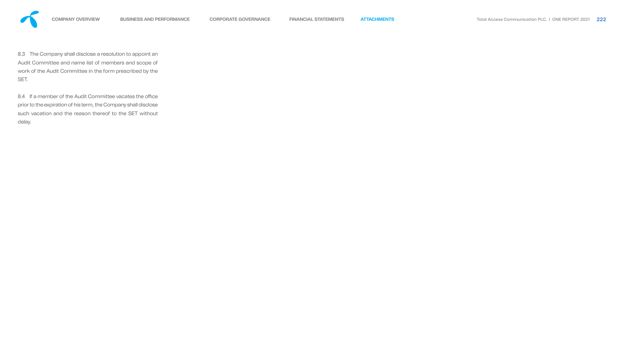

8.3 The Company shall disclose a resolution to appoint an Audit Committee and name list of members and scope of work of the Audit Committee in the form prescribed by the SET.

8.4 If a member of the Audit Committee vacates the office prior to the expiration of his term, the Company shall disclose such vacation and the reason thereof to the SET without delay.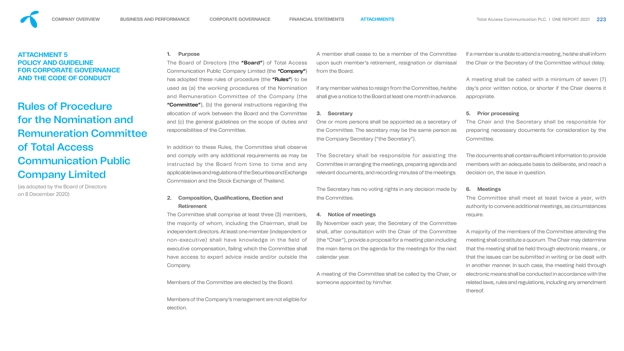#### **1. Purpose**

The Board of Directors (the "Board") of Total Access Communication Public Company Limited (the "Company") has adopted these rules of procedure (the "Rules") to be used as (a) the working procedures of the Nomination and Remuneration Committee of the Company (the "Committee"), (b) the general instructions regarding the allocation of work between the Board and the Committee and (c) the general guidelines on the scope of duties and responsibilities of the Committee.

## **2. Composition, Qualifications, Election and Retirement**

In addition to these Rules, the Committee shall observe and comply with any additional requirements as may be instructed by the Board from time to time and any applicable laws and regulations of the Securities and Exchange Commission and the Stock Exchange of Thailand. The Secretary shall be responsible for assisting the Committee in arranging the meetings, preparing agenda and relevant documents, and recording minutes of the meetings.

Members of the Committee are elected by the Board.

Members of the Company's management are not eligible for election.

A member shall cease to be a member of the Committee upon such member's retirement, resignation or dismissal from the Board.

> The documents shall contain sufficient information to provide members with an adequate basis to deliberate, and reach a decision on, the issue in question.

If any member wishes to resign from the Committee, he/she shall give a notice to the Board at least one month in advance.

The Committee shall comprise at least three (3) members, the majority of whom, including the Chairman, shall be independent directors. At least one member (independent or non-executive) shall have knowledge in the field of executive compensation, failing which the Committee shall have access to expert advice inside and/or outside the Company. **4. Notice of meetings** By November each year, the Secretary of the Committee shall, after consultation with the Chair of the Committee (the "Chair"), provide a proposal for a meeting plan including the main items on the agenda for the meetings for the next calendar year.

#### **3. Secretary**

One or more persons shall be appointed as a secretary of the Committee. The secretary may be the same person as the Company Secretary ("the Secretary").

The Secretary has no voting rights in any decision made by the Committee.

A meeting of the Committee shall be called by the Chair, or someone appointed by him/her.

If a member is unable to attend a meeting, he/she shall inform the Chair or the Secretary of the Committee without delay.

A meeting shall be called with a minimum of seven (7) day's prior written notice, or shorter if the Chair deems it appropriate.

#### **5. Prior processing**

The Chair and the Secretary shall be responsible for preparing necessary documents for consideration by the Committee.

#### **6. Meetings**

The Committee shall meet at least twice a year, with authority to convene additional meetings, as circumstances require.

A majority of the members of the Committee attending the meeting shall constitute a quorum. The Chair may determine that the meeting shall be held through electronic means , or that the issues can be submitted in writing or be dealt with in another manner. In such case, the meeting held through electronic means shall be conducted in accordance with the related laws, rules and regulations, including any amendment thereof.











## **ATTACHMENT 5 POLICY AND GUIDELINE FOR CORPORATE GOVERNANCE AND THE CODE OF CONDUCT**

# Rules of Procedure for the Nomination and Remuneration Committee of Total Access Communication Public Company Limited

(as adopted by the Board of Directors on 8 December 2020)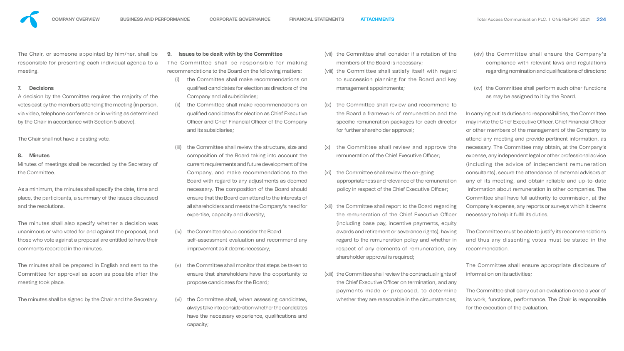The Chair, or someone appointed by him/her, shall be responsible for presenting each individual agenda to a meeting.

#### **7. Decisions**

A decision by the Committee requires the majority of the votes cast by the members attending the meeting (in person, via video, telephone conference or in writing as determined by the Chair in accordance with Section 5 above).

The Chair shall not have a casting vote.

#### **8. Minutes**

Minutes of meetings shall be recorded by the Secretary of the Committee.

The Committee shall be responsible for making recommendations to the Board on the following matters:

As a minimum, the minutes shall specify the date, time and place, the participants, a summary of the issues discussed and the resolutions.

The minutes shall also specify whether a decision was unanimous or who voted for and against the proposal, and those who vote against a proposal are entitled to have their comments recorded in the minutes.

The minutes shall be prepared in English and sent to the Committee for approval as soon as possible after the meeting took place.

The minutes shall be signed by the Chair and the Secretary.

#### **9. Issues to be dealt with by the Committee**

- (i) the Committee shall make recommendations on qualified candidates for election as directors of the Company and all subsidiaries;
- (ii) the Committee shall make recommendations on qualified candidates for election as Chief Executive Officer and Chief Financial Officer of the Company and its subsidiaries; (ix) the Committee shall review and recommend to the Board a framework of remuneration and the specific remuneration packages for each director for further shareholder approval;
- the Committee shall review the structure, size and composition of the Board taking into account the current requirements and future development of the Company, and make recommendations to the Board with regard to any adjustments as deemed necessary. The composition of the Board should ensure that the Board can attend to the interests of all shareholders and meets the Company's need for expertise, capacity and diversity;
- (iv) the Committee should consider the Board self-assessment evaluation and recommend any improvement as it deems necessary;
- (v) the Committee shall monitor that steps be taken to ensure that shareholders have the opportunity to propose candidates for the Board;
- (vi) the Committee shall, when assessing candidates, always take into consideration whether the candidates have the necessary experience, qualifications and capacity;

In carrying out its duties and responsibilities, the Committee may invite the Chief Executive Officer, Chief Financial Officer or other members of the management of the Company to attend any meeting and provide pertinent information, as necessary. The Committee may obtain, at the Company's expense, any independent legal or other professional advice (including the advice of independent remuneration consultants), secure the attendance of external advisors at any of its meeting, and obtain reliable and up-to-date information about remuneration in other companies. The Committee shall have full authority to commission, at the Company's expense, any reports or surveys which it deems necessary to help it fulfill its duties.

| (vii) the Committee shall consider if a rotation of the |
|---------------------------------------------------------|
| members of the Board is necessary;                      |

(viii) the Committee shall satisfy itself with regard to succession planning for the Board and key management appointments;

- (x) the Committee shall review and approve the remuneration of the Chief Executive Officer;
- (xi) the Committee shall review the on-going appropriateness and relevance of the remuneration policy in respect of the Chief Executive Officer;
- (xii) the Committee shall report to the Board regarding the remuneration of the Chief Executive Officer (including base pay, incentive payments, equity awards and retirement or severance rights), having regard to the remuneration policy and whether in respect of any elements of remuneration, any shareholder approval is required;
- (xiii) the Committee shall review the contractual rights of the Chief Executive Officer on termination, and any whether they are reasonable in the circumstances;
- (xiv) the Committee shall ensure the Company's compliance with relevant laws and regulations regarding nomination and qualifications of directors;
- (xv) the Committee shall perform such other functions as may be assigned to it by the Board.

payments made or proposed, to determine The Committee shall carry out an evaluation once a year of its work, functions, performance. The Chair is responsible for the execution of the evaluation.



The Committee must be able to justify its recommendations and thus any dissenting votes must be stated in the recommendation.

The Committee shall ensure appropriate disclosure of information on its activities;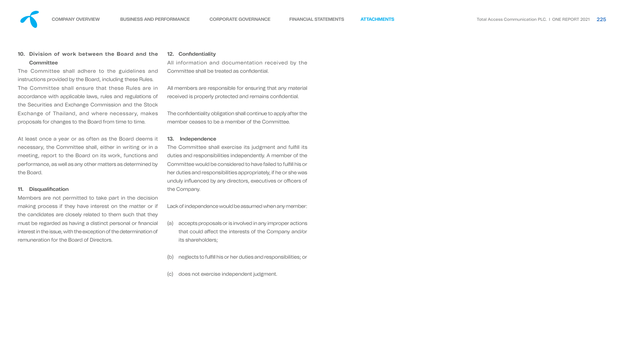### **10. Division of work between the Board and the Committee**

The Committee shall adhere to the guidelines and instructions provided by the Board, including these Rules. The Committee shall ensure that these Rules are in accordance with applicable laws, rules and regulations of the Securities and Exchange Commission and the Stock Exchange of Thailand, and where necessary, makes proposals for changes to the Board from time to time.

All information and documentation received by the Committee shall be treated as confidential.

All members are responsible for ensuring that any material received is properly protected and remains confidential.

At least once a year or as often as the Board deems it necessary, the Committee shall, either in writing or in a meeting, report to the Board on its work, functions and performance, as well as any other matters as determined by the Board.

The confidentiality obligation shall continue to apply after the member ceases to be a member of the Committee.

#### **11. Disqualification**

The Committee shall exercise its judgment and fulfill its duties and responsibilities independently. A member of the Committee would be considered to have failed to fulll his or her duties and responsibilities appropriately, if he or she was unduly influenced by any directors, executives or officers of the Company.

Members are not permitted to take part in the decision making process if they have interest on the matter or if the candidates are closely related to them such that they must be regarded as having a distinct personal or financial interest in the issue, with the exception of the determination of remuneration for the Board of Directors.

#### **12. Confidentiality**

#### **13. Independence**

Lack of independence would be assumed when any member:

- (a) accepts proposals or is involved in any improper actions that could affect the interests of the Company and/or its shareholders;
- (b) neglects to fulfill his or her duties and responsibilities; or
- (c) does not exercise independent judgment.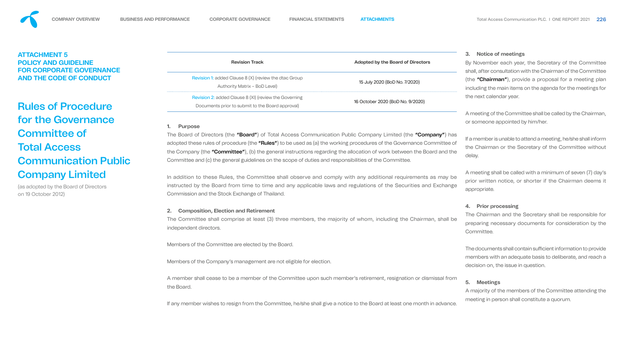|               | <b>Adopted by the Board of Directors</b> |
|---------------|------------------------------------------|
| àroup         | 15 July 2020 (BoD No. 7/2020)            |
| rning<br>val) | 16 October 2020 (BoD No. 9/2020)         |

#### **1. Purpose**

The Board of Directors (the "Board") of Total Access Communication Public Company Limited (the "Company") has adopted these rules of procedure (the "Rules") to be used as (a) the working procedures of the Governance Committee of the Company (the "Committee"), (b) the general instructions regarding the allocation of work between the Board and the Committee and (c) the general guidelines on the scope of duties and responsibilities of the Committee.

In addition to these Rules, the Committee shall observe and comply with any additional requirements as may be instructed by the Board from time to time and any applicable laws and regulations of the Securities and Exchange Commission and the Stock Exchange of Thailand.

#### **2. Composition, Election and Retirement**

The Committee shall comprise at least (3) three members, the majority of whom, including the Chairman, shall be independent directors.

Members of the Committee are elected by the Board.

Members of the Company's management are not eligible for election.

A member shall cease to be a member of the Committee upon such member's retirement, resignation or dismissal from the Board.

If any member wishes to resign from the Committee, he/she shall give a notice to the Board at least one month in advance.

The documents shall contain sufficient information to provide members with an adequate basis to deliberate, and reach a decision on, the issue in question.



## **ATTACHMENT 5 POLICY AND GUIDELINE FOR CORPORATE GOVERNANCE AND THE CODE OF CONDUCT**

# Rules of Procedure for the Governance Committee of Total Access Communication Public Company Limited

(as adopted by the Board of Directors on 19 October 2012)

#### **Revision Track**

Revision 1: added Clause 8 (X) (review the dtac G Authority Matrix – BoD Level)

Revision 2: added Clause 8 (XI) (review the Govern Documents prior to submit to the Board appro

### **3. Notice of meetings**

By November each year, the Secretary of the Committee shall, after consultation with the Chairman of the Committee (the "Chairman"), provide a proposal for a meeting plan including the main items on the agenda for the meetings for the next calendar year.

A meeting of the Committee shall be called by the Chairman, or someone appointed by him/her.

If a member is unable to attend a meeting, he/she shall inform the Chairman or the Secretary of the Committee without delay.

A meeting shall be called with a minimum of seven (7) day's prior written notice, or shorter if the Chairman deems it appropriate.

### **4. Prior processing**

The Chairman and the Secretary shall be responsible for preparing necessary documents for consideration by the Committee.

## **5. Meetings**

A majority of the members of the Committee attending the meeting in person shall constitute a quorum.



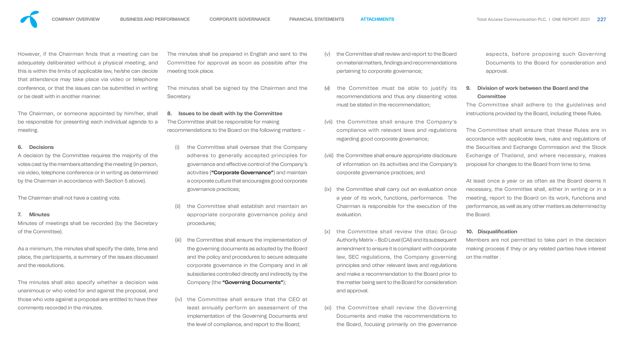

However, if the Chairman finds that a meeting can be adequately deliberated without a physical meeting, and this is within the limits of applicable law, he/she can decide that attendance may take place via video or telephone conference, or that the issues can be submitted in writing or be dealt with in another manner.

The Chairman, or someone appointed by him/her, shall be responsible for presenting each individual agenda to a meeting.

#### **6. Decisions**

A decision by the Committee requires the majority of the votes cast by the members attending the meeting (in person, via video, telephone conference or in writing as determined by the Chairman in accordance with Section 5 above).

The Chairman shall not have a casting vote.

#### **7. Minutes**

Minutes of meetings shall be recorded (by the Secretary of the Committee).

As a minimum, the minutes shall specify the date, time and place, the participants, a summary of the issues discussed and the resolutions.

The minutes shall also specify whether a decision was unanimous or who voted for and against the proposal, and those who vote against a proposal are entitled to have their comments recorded in the minutes.

The minutes shall be prepared in English and sent to the Committee for approval as soon as possible after the meeting took place.

The minutes shall be signed by the Chairman and the Secretary.

#### **8. Issues to be dealt with by the Committee**

The Committee shall be responsible for making recommendations to the Board on the following matters: -

- (i) the Committee shall oversee that the Company adheres to generally accepted principles for governance and effective control of the Company's activities ("Corporate Governance") and maintain a corporate culture that encourages good corporate governance practices;
- (ii) the Committee shall establish and maintain an appropriate corporate governance policy and procedures;
- the Committee shall ensure the implementation of the governing documents as adopted by the Board and the policy and procedures to secure adequate corporate governance in the Company and in all subsidiaries controlled directly and indirectly by the Company (the "Governing Documents");
- (iv) the Committee shall ensure that the CEO at least annually perform an assessment of the implementation of the Governing Documents and the level of compliance, and report to the Board;

- (v) the Committee shall review and report to the Board on material matters, findings and recommendations pertaining to corporate governance;
- (vi) the Committee must be able to justify its recommendations and thus any dissenting votes must be stated in the recommendation;
- (vii) the Committee shall ensure the Company's compliance with relevant laws and regulations regarding good corporate governance;
	- (viii) the Committee shall ensure appropriate disclosure of information on its activities and the Company's corporate governance practices; and
	- (ix) the Committee shall carry out an evaluation once a year of its work, functions, performance. The Chairman is responsible for the execution of the evaluation.
	- (x) the Committee shall review the dtac Group Authority Matrix – BoD Level (CAI) and its subsequent amendment to ensure it is compliant with corporate law, SEC regulations, the Company governing principles and other relevant laws and regulations and make a recommendation to the Board prior to the matter being sent to the Board for consideration and approval.
	- (xi) the Committee shall review the Governing Documents and make the recommendations to the Board, focusing primarily on the governance

aspects, before proposing such Governing Documents to the Board for consideration and approval.

## **9. Division of work between the Board and the Committee**

The Committee shall adhere to the guidelines and instructions provided by the Board, including these Rules.

The Committee shall ensure that these Rules are in accordance with applicable laws, rules and regulations of the Securities and Exchange Commission and the Stock Exchange of Thailand, and where necessary, makes proposal for changes to the Board from time to time.

At least once a year or as often as the Board deems it necessary, the Committee shall, either in writing or in a meeting, report to the Board on its work, functions and performance, as well as any other matters as determined by the Board.

#### **10. Disqualification**

Members are not permitted to take part in the decision making process if they or any related parties have interest on the matter .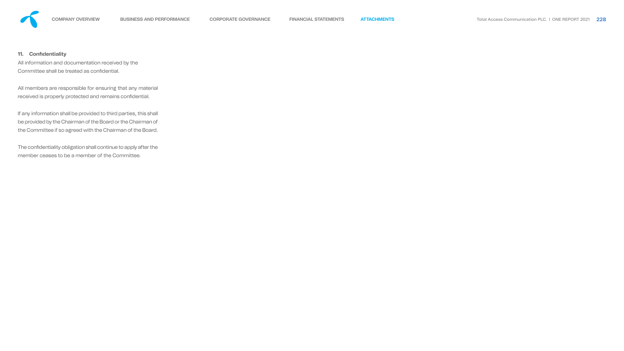All information and documentation received by the Committee shall be treated as confidential.

All members are responsible for ensuring that any material received is properly protected and remains confidential.



### **11. Confidentiality**

The confidentiality obligation shall continue to apply after the member ceases to be a member of the Committee.

If any information shall be provided to third parties, this shall be provided by the Chairman of the Board or the Chairman of the Committee if so agreed with the Chairman of the Board.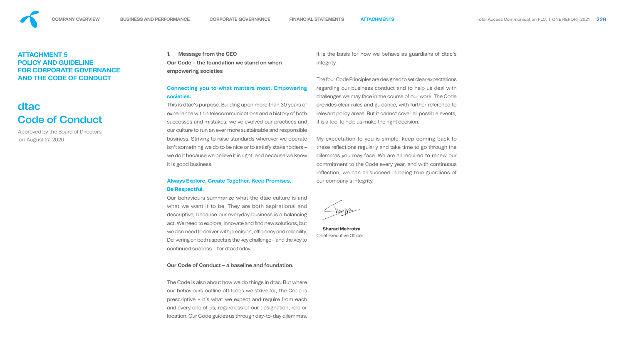**1. Message from the CEO Our Code – the foundation we stand on when empowering societies**

## **Connecting you to what matters most. Empowering societies.**

# **Be Respectful.**

Our behaviours summarize what the dtac culture is and what we want it to be. They are both aspirational and descriptive, because our everyday business is a balancing act. We need to explore, innovate and find new solutions, but we also need to deliver with precision, efficiency and reliability. Delivering on both aspects is the key challenge – and the key to continued success – for dtac today.

**Sharad Mehrotra Chief Executive Officer** 

#### **Our Code of Conduct – a baseline and foundation.**

This is dtac's purpose. Building upon more than 30 years of experience within telecommunications and a history of both successes and mistakes, we've evolved our practices and our culture to run an ever more sustainable and responsible business. Striving to raise standards wherever we operate isn't something we do to be nice or to satisfy stakeholders – we do it because we believe it is right, and because we know it is good business. **Always Explore, Create Together, Keep Promises,**  provides clear rules and guidance, with further reference to relevant policy areas. But it cannot cover all possible events; it is a tool to help us make the right decision. My expectation to you is simple: keep coming back to these reflections regularly and take time to go through the dilemmas you may face. We are all required to renew our commitment to the Code every year, and with continuous reflection, we can all succeed in being true guardians of our company's integrity.

The Code is also about how we do things in dtac. But where our behaviours outline attitudes we strive for, the Code is prescriptive – it's what we expect and require from each and every one of us, regardless of our designation, role or location. Our Code guides us through day-to-day dilemmas.

It is the basis for how we behave as guardians of dtac's integrity.

The four Code Principles are designed to set clear expectations regarding our business conduct and to help us deal with challenges we may face in the course of our work. The Code

# **ATTACHMENT 5 POLICY AND GUIDELINE FOR CORPORATE GOVERNANCE AND THE CODE OF CONDUCT**

# dtac Code of Conduct

Approved by the Board of Directors on August 27, 2020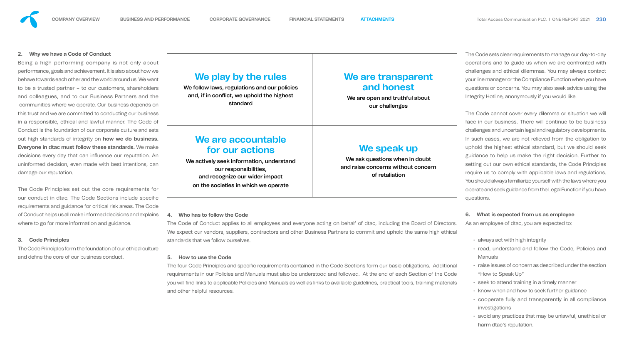#### **2. Why we have a Code of Conduct**

Being a high-performing company is not only about performance, goals and achievement. It is also about how we behave towards each other and the world around us. We want to be a trusted partner – to our customers, shareholders and colleagues, and to our Business Partners and the communities where we operate. Our business depends on this trust and we are committed to conducting our business in a responsible, ethical and lawful manner. The Code of Conduct is the foundation of our corporate culture and sets out high standards of integrity on **how we do business. Everyone in dtac must follow these standards.** We make decisions every day that can influence our reputation. An uninformed decision, even made with best intentions, can damage our reputation.

The Code Principles form the foundation of our ethical culture and define the core of our business conduct.

We follow laws, regulations and our policies and, if in conflict, we uphold the highest standard

We actively seek information, understan our responsibilities, and recognize our wider impact on the societies in which we operate

The Code Principles set out the core requirements for our conduct in dtac. The Code Sections include specific requirements and guidance for critical risk areas. The Code of Conduct helps us all make informed decisions and explains where to go for more information and guidance.

#### **3. Code Principles**

The four Code Principles and specific requirements contained in the Code Sections form our basic obligations. Additional requirements in our Policies and Manuals must also be understood and followed. At the end of each Section of the Code you will find links to applicable Policies and Manuals as well as links to available guidelines, practical tools, training materials and other helpful resources.

# **We play by the rules**

# **We are accountable for our actions**

| es | We are transparent<br>and honest<br>We are open and truthful about<br>our challenges                  |
|----|-------------------------------------------------------------------------------------------------------|
| ıd | We speak up<br>We ask questions when in doubt<br>and raise concerns without concern<br>of retaliation |

#### **4. Who has to follow the Code**

- always act with high integrity
- read, understand and follow the Code, Policies and **Manuals**
- raise issues of concern as described under the section "How to Speak Up"
- seek to attend training in a timely manner
- know when and how to seek further guidance
- cooperate fully and transparently in all compliance investigations
- avoid any practices that may be unlawful, unethical or harm dtac's reputation.

The Code of Conduct applies to all employees and everyone acting on behalf of dtac, including the Board of Directors. We expect our vendors, suppliers, contractors and other Business Partners to commit and uphold the same high ethical standards that we follow ourselves.

#### **5. How to use the Code**

The Code sets clear requirements to manage our day-to-day operations and to guide us when we are confronted with challenges and ethical dilemmas. You may always contact your line manager or the Compliance Function when you have questions or concerns. You may also seek advice using the Integrity Hotline, anonymously if you would like.

The Code cannot cover every dilemma or situation we will face in our business. There will continue to be business challenges and uncertain legal and regulatory developments. In such cases, we are not relieved from the obligation to uphold the highest ethical standard, but we should seek guidance to help us make the right decision. Further to setting out our own ethical standards, the Code Principles require us to comply with applicable laws and regulations. You should always familiarize yourself with the laws where you operate and seek guidance from the Legal Function if you have questions.

#### **6. What is expected from us as employee**

As an employee of dtac, you are expected to: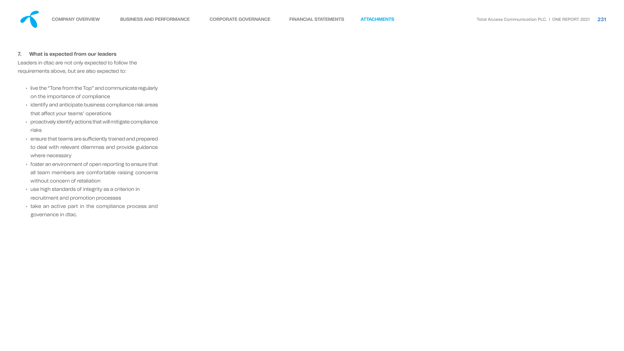

### **7. What is expected from our leaders**

Leaders in dtac are not only expected to follow the requirements above, but are also expected to:

- live the "Tone from the Top" and communicate regularly on the importance of compliance
- identify and anticipate business compliance risk areas that affect your teams' operations
- proactively identify actions that will mitigate compliance risks
- $\cdot$  ensure that teams are sufficiently trained and prepared to deal with relevant dilemmas and provide guidance where necessary
- foster an environment of open reporting to ensure that all team members are comfortable raising concerns without concern of retaliation
- use high standards of integrity as a criterion in recruitment and promotion processes
- take an active part in the compliance process and governance in dtac.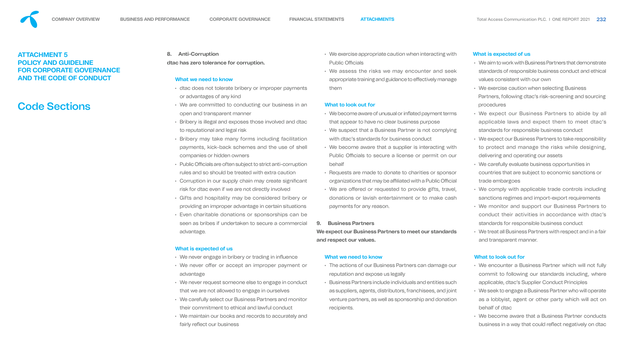**POLICY AND GUIDELINE** 

**FOR CORPORATE GOVERNANCE** 

**AND THE CODE OF CONDUCT** 

# Code Sections

# **8. Anti-Corruption**

**dtac has zero tolerance for corruption.** 

#### **What we need to know**

- dtac does not tolerate bribery or improper payments or advantages of any kind
- We are committed to conducting our business in an open and transparent manner
- Bribery is illegal and exposes those involved and dtac to reputational and legal risk
- Bribery may take many forms including facilitation payments, kick-back schemes and the use of shell companies or hidden owners
- $\cdot$  Public Officials are often subject to strict anti-corruption rules and so should be treated with extra caution
- Corruption in our supply chain may create significant risk for dtac even if we are not directly involved
- Gifts and hospitality may be considered bribery or providing an improper advantage in certain situations
- Even charitable donations or sponsorships can be seen as bribes if undertaken to secure a commercial advantage.

#### **What is expected of us**

- We never engage in bribery or trading in influence
- We never offer or accept an improper payment or advantage
- We never request someone else to engage in conduct that we are not allowed to engage in ourselves
- We carefully select our Business Partners and monitor their commitment to ethical and lawful conduct
- We maintain our books and records to accurately and fairly reflect our business
- We become aware of unusual or inflated payment terms that appear to have no clear business purpose
- We suspect that a Business Partner is not complying with dtac's standards for business conduct
- We become aware that a supplier is interacting with Public Officials to secure a license or permit on our behalf
- Requests are made to donate to charities or sponsor organizations that may be affiliated with a Public Official
	- We are offered or requested to provide gifts, travel, donations or lavish entertainment or to make cash payments for any reason.
- We exercise appropriate caution when interacting with **Public Officials**
- We assess the risks we may encounter and seek appropriate training and guidance to effectively manage them

#### **What to look out for**

- We encounter a Business Partner which will not fully commit to following our standards including, where applicable, dtac's Supplier Conduct Principles
- We seek to engage a Business Partner who will operate as a lobbyist, agent or other party which will act on behalf of dtac
- We become aware that a Business Partner conducts business in a way that could reflect negatively on dtac





#### **9. Business Partners**

**We expect our Business Partners to meet our standards and respect our values.** 

**What we need to know**

• The actions of our Business Partners can damage our

reputation and expose us legally

• Business Partners include individuals and entities such

as suppliers, agents, distributors, franchisees, and joint

venture partners, as well as sponsorship and donation

recipients.

#### **What is expected of us**

- We aim to work with Business Partners that demonstrate standards of responsible business conduct and ethical values consistent with our own
- We exercise caution when selecting Business Partners, following dtac's risk-screening and sourcing procedures
- We expect our Business Partners to abide by all applicable laws and expect them to meet dtac's standards for responsible business conduct
- We expect our Business Partners to take responsibility to protect and manage the risks while designing, delivering and operating our assets
- We carefully evaluate business opportunities in countries that are subject to economic sanctions or trade embargoes
- We comply with applicable trade controls including sanctions regimes and import-export requirements
- We monitor and support our Business Partners to conduct their activities in accordance with dtac's standards for responsible business conduct
- We treat all Business Partners with respect and in a fair and transparent manner.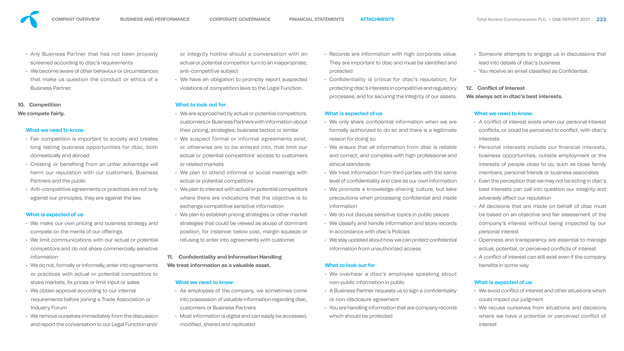- Any Business Partner that has not been properly screened according to dtac's requirements
- We become aware of other behaviour or circumstances that make us question the conduct or ethics of a Business Partner.

#### **10. Competition**

#### **We compete fairly.**

#### **What we need to know**

- Fair competition is important to society and creates long lasting business opportunities for dtac, both domestically and abroad
- Creating or benefiting from an unfair advantage will harm our reputation with our customers, Business Partners and the public
- Anti-competitive agreements or practices are not only against our principles, they are against the law.

#### **What is expected of us**

- We make our own pricing and business strategy and compete on the merits of our offerings
- We limit communications with our actual or potential competitors and do not share commercially sensitive information
- We do not, formally or informally, enter into agreements or practices with actual or potential competitors to share markets, fix prices or limit input or sales
- We obtain approval according to our internal requirements before joining a Trade Association or Industry Forum
- We remove ourselves immediately from the discussion and report the conversation to our Legal Function and/
- As employees of the company, we sometimes come into possession of valuable information regarding dtac, customers or Business Partners
- Most information is digital and can easily be accessed, modified, shared and replicated

or integrity hotline should a conversation with an actual or potential competitor turn to an inappropriate, anti-competitive subject

### **What to look out for**

- We only share confidential information when we are formally authorized to do so and there is a legitimate reason for doing so
- We ensure that all information from dtac is reliable and correct, and complies with high professional and ethical standards
	- We promote a knowledge-sharing culture, but take precautions when processing confidential and inside information
- We do not discuss sensitive topics in public places
	- We classify and handle information and store records in accordance with dtac's Policies
		- We stay updated about how we can protect confidential information from unauthorized access.
- Someone attempts to engage us in discussions that lead into details of dtac's business
- You receive an email classified as Confidential.

- We are approached by actual or potential competitors, customers or Business Partners with information about their pricing, strategies, business tactics or similar
- We suspect formal or informal agreements exist, or otherwise are to be entered into, that limit our actual or potential competitors' access to customers or related markets
- We plan to attend informal or social meetings with actual or potential competitors • We treat information from third parties with the same level of confidentiality and care as our own information
- We plan to interact with actual or potential competitors where there are indications that the objective is to exchange competitive sensitive information
- We plan to establish pricing strategies or other market strategies that could be viewed as abuse of dominant position, for instance: below cost, margin squeeze or refusing to enter into agreements with customer.

• We have an obligation to promptly report suspected violations of competition laws to the Legal Function. • Confidentiality is critical for dtac's reputation, for protecting dtac's interests in competitive and regulatory processes, and for securing the integrity of our assets.

### **11. Confidentiality and Information Handling We treat information as a valuable asset.**

#### **What we need to know**

- $\cdot$  We avoid conflict of interest and other situations which could impact our judgment
- We recuse ourselves from situations and decisions where we have a potential or perceived conflict of interest

• Records are information with high corporate value. They are important to dtac and must be identified and protected

## **What is expected of us**

### **What to look out for**

- We overhear a dtac's employee speaking about non-public information in public
- A Business Partner requests us to sign a confidentiality or non-disclosure agreement
	- You are handling information that are company records which should be protected

### **12. Conflict of Interest**

**We always act in dtac's best interests.**

### **What we need to know**

- A conflict of interest exists when our personal interest conflicts, or could be perceived to conflict, with dtac's interests
- Personal interests include our financial interests, business opportunities, outside employment or the interests of people close to us, such as close family members, personal friends or business associates
- Even the perception that we may not be acting in dtac's best interests can call into question our integrity and adversely affect our reputation
- All decisions that are made on behalf of dtac must be based on an objective and fair assessment of the company's interest without being impacted by our personal interest
- Openness and transparency are essential to manage actual, potential, or perceived conflicts of interest
- $\cdot$  A conflict of interest can still exist even if the company benefits in some way.

### **What is expected of us**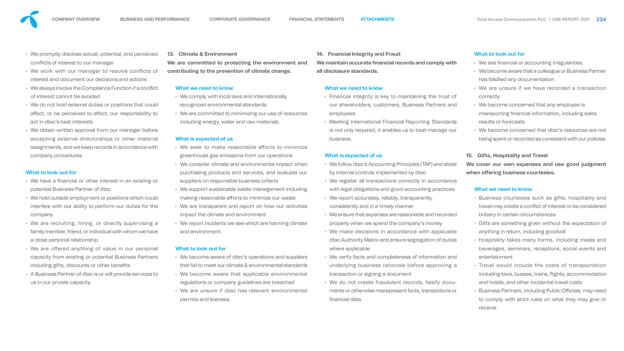- We promptly disclose actual, potential, and perceived conflicts of interest to our manager
- We work with our manager to resolve conflicts of interest and document our decisions and actions
- $\cdot$  We always involve the Compliance Function if a conflict of interest cannot be avoided
- We do not hold external duties or positions that could affect, or be perceived to affect, our responsibility to act in dtac's best interests
- We obtain written approval from our manager before accepting external directorships or other material assignments, and we keep records in accordance with company procedures.

- We have a financial or other interest in an existing or potential Business Partner of dtac
- We hold outside employment or positions which could interfere with our ability to perform our duties for the company
- We are recruiting, hiring, or directly supervising a family member, friend, or individual with whom we have a close personal relationship
- We are offered anything of value in our personal capacity from existing or potential Business Partners including gifts, discounts or other benefits
- A Business Partner of dtac is or will provide services to us in our private capacity.

#### **What to look out for**

- $\cdot$  We seek to make reasonable efforts to minimize greenhouse gas emissions from our operations
- We consider climate and environmental impact when purchasing products and services, and evaluate our suppliers on responsible business criteria
- We support sustainable waste management including making reasonable efforts to minimize our waste
- We are transparent and report on how our activities impact the climate and environment
- We report incidents we see which are harming climate and environment.

#### **13. Climate & Environment**

**We are committed to protecting the environment and contributing to the prevention of climate change.**

#### **What we need to know**

- We comply with local laws and internationally recognized environmental standards
- We are committed to minimizing our use of resources including energy, water and raw materials.

#### **What is expected of us**

- We see financial or accounting irregularities
- We become aware that a colleague or Business Partner has falsified any documentation
- We are unsure if we have recorded a transaction correctly
- We become concerned that any employee is misreporting financial information, including sales results or forecasts
- We become concerned that dtac's resources are not being spent or recorded as consistent with our policies.

#### **What to look out for**

- We become aware of dtac's operations and suppliers that fail to meet our climate & environmental standards
- We become aware that applicable environmental regulations or company guidelines are breached
- We are unsure if dtac has relevant environmental permits and licenses.
- **14. Financial Integrity and Fraud**
- **We maintain accurate financial records and comply with all disclosure standards.**

#### **What we need to know**

- Financial integrity is key to maintaining the trust of our shareholders, customers, Business Partners and employees
- Meeting International Financial Reporting Standards is not only required, it enables us to best manage our business.

- 
- 
- 

### **What is expected of us**

- We follow dtac's Accounting Principles (TAP) and abide by internal controls implemented by dtac
	- We register all transactions correctly in accordance with legal obligations and good accounting practices
	- We report accurately, reliably, transparently, consistently and in a timely manner
	- We ensure that expenses are reasonable and recorded properly when we spend the company's money
	- We make decisions in accordance with applicable dtac Authority Matrix and ensure segregation of duties where applicable
	- We verify facts and completeness of information and underlying business rationale before approving a transaction or signing a document
		- We do not create fraudulent records, falsify documents or otherwise misrepresent facts, transactions or nancial data.

#### **What to look out for**

#### **15. Gifts, Hospitality and Travel**

**We cover our own expenses and use good judgment when offering business courtesies.**

#### **What we need to know**

- Business courtesies such as gifts, hospitality and travel may create a conflict of interest or be considered bribery in certain circumstances
- Gifts are something given without the expectation of anything in return, including goodwill
- Hospitality takes many forms, including meals and beverages, seminars, receptions, social events and entertainment
- Travel would include the costs of transportation including taxis, busses, trains, flights, accommodation and hotels, and other incidental travel costs
- Business Partners, including Public Officials, may need to comply with strict rules on what they may give or receive.

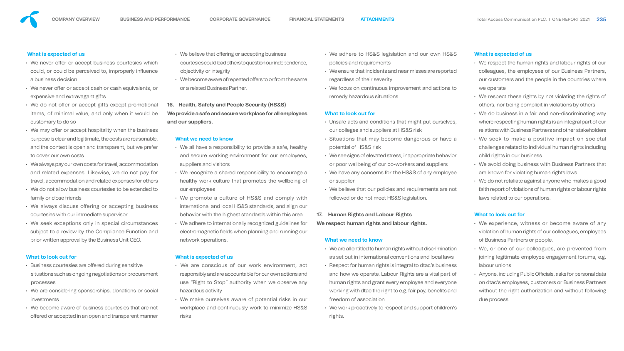

#### **What is expected of us**

- We never offer or accept business courtesies which could, or could be perceived to, improperly influence a business decision
- We never offer or accept cash or cash equivalents, or expensive and extravagant gifts
- We do not offer or accept gifts except promotional items, of minimal value, and only when it would be customary to do so
- We may offer or accept hospitality when the business purpose is clear and legitimate, the costs are reasonable, and the context is open and transparent, but we prefer to cover our own costs
- We always pay our own costs for travel, accommodation and related expenses. Likewise, we do not pay for travel, accommodation and related expenses for others
- We do not allow business courtesies to be extended to family or close friends
- We always discuss offering or accepting business courtesies with our immediate supervisor
- We seek exceptions only in special circumstances subject to a review by the Compliance Function and prior written approval by the Business Unit CEO.
- We believe that offering or accepting business courtesies could lead others to question our independence. objectivity or integrity
- We become aware of repeated offers to or from th or a related Business Partner.

#### **What to look out for**

- $\cdot$  Business courtesies are offered during sensitive situations such as ongoing negotiations or procurement processes
- We are considering sponsorships, donations or social investments
- We become aware of business courtesies that are not offered or accepted in an open and transparent manner
- $\cdot$  We all have a responsibility to provide a safe, and secure working environment for our employees suppliers and visitors
- We recognize a shared responsibility to encourage and the responsibility to encourage and the responsibility healthy work culture that promotes the wellbe our employees
- We promote a culture of HS&S and compl international and local HS&S standards, and all behavior with the highest standards within this
- We adhere to internationally recognized guideling electromagnetic fields when planning and runn network operations.

- We are conscious of our work environmer responsibly and are accountable for our own actions use "Right to Stop" authority when we obse hazardous activity
- We make ourselves aware of potential risks in our workplace and continuously work to minimize HS&S risks

**16. Health, Safety and People Security (HS&S) We provide a safe and secure workplace for all emp and our suppliers.** 

#### **What we need to know**

- working with dtac the right to e.g. fair pay, benefits and freedom of association
	- We work proactively to respect and support children's rights.

#### **What is expected of us**

|          | • We adhere to HS&S legislation and our own HS&S             |
|----------|--------------------------------------------------------------|
| ndence,  | policies and requirements                                    |
|          | • We ensure that incidents and near misses are reported      |
| e same   | regardless of their severity                                 |
|          | • We focus on continuous improvement and actions to          |
|          | remedy hazardous situations.                                 |
| bloyees  | What to look out for                                         |
|          | • Unsafe acts and conditions that might put ourselves,       |
|          | our colleges and suppliers at HS&S risk                      |
|          | • Situations that may become dangerous or have a             |
| healthy  | potential of HS&S risk                                       |
| oloyees, | • We see signs of elevated stress, inappropriate behavior    |
|          | or poor wellbeing of our co-workers and suppliers            |
| urage a  | • We have any concerns for the HS&S of any employee          |
| eing of  | or supplier                                                  |
|          | • We believe that our policies and requirements are not      |
| ly with  | followed or do not meet HS&S legislation.                    |
| lign our |                                                              |
| s area   | <b>Human Rights and Labour Rights</b><br>17.                 |
| ines for | We respect human rights and labour rights.                   |
| ing our  |                                                              |
|          | What we need to know                                         |
|          | • We are all entitled to human rights without discrimination |
|          | as set out in international conventions and local laws       |
| nt, act  | • Respect for human rights is integral to dtac's business    |
| ons and  | and how we operate. Labour Rights are a vital part of        |
| rve any  | human rights and grant every employee and everyone           |

### **What is expected of us**

- We respect the human rights and labour rights of our colleagues, the employees of our Business Partners, our customers and the people in the countries where we operate
- We respect these rights by not violating the rights of others, nor being complicit in violations by others
- We do business in a fair and non-discriminating way where respecting human rights is an integral part of our relations with Business Partners and other stakeholders
- We seek to make a positive impact on societal challenges related to individual human rights including child rights in our business
- We avoid doing business with Business Partners that are known for violating human rights laws
- We do not retaliate against anyone who makes a good faith report of violations of human rights or labour rights laws related to our operations.

- We experience, witness or become aware of any violation of human rights of our colleagues, employees of Business Partners or people.
- We, or one of our colleagues, are prevented from joining legitimate employee engagement forums, e.g. labour unions
- Anyone, including Public Officials, asks for personal data on dtac's employees, customers or Business Partners without the right authorization and without following due process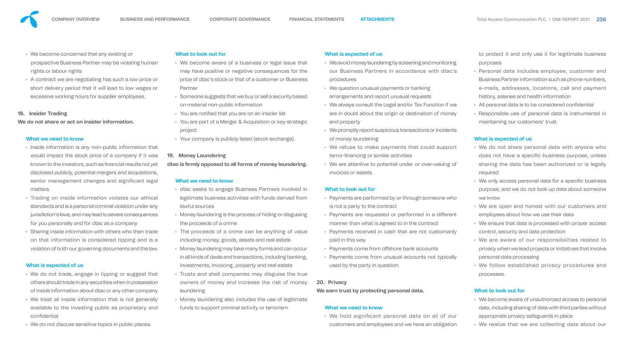

• A contract we are negotiating has such a low price or short delivery period that it will lead to low wages or excessive working hours for supplier employees.

### **18. Insider Trading**

**We do not share or act on insider information.** 

#### **What we need to know**

- Inside information is any non-public information that would impact the stock price of a company if it was known to the investors, such as financial results not yet disclosed publicly, potential mergers and acquisitions, senior management changes and significant legal matters.
- Trading on inside information violates our ethical standards and is a personal criminal violation under any jurisdiction's laws, and may lead to severe consequences for you personally and for dtac as a company
- Sharing inside information with others who then trade on that information is considered tipping and is a violation of both our governing documents and the law.

### **What is expected of us**

- We do not trade, engage in tipping or suggest that others should trade in any securities when in possession of inside information about dtac or any other company
- We treat all inside information that is not generally available to the investing public as proprietary and confidential
- We do not discuss sensitive topics in public places.
- dtac seeks to engage Business Partners invol legitimate business activities with funds derived lawful sources
- Money laundering is the process of hiding or disguising the proceeds of a crime
- The proceeds of a crime can be anything of including money, goods, assets and real estate
- $\cdot$  Money laundering may take many forms and can in all kinds of deals and transactions, including ban investments, invoicing, property and real estate
- Trusts and shell companies may disguise the owners of money and increase the risk of r laundering
- Money laundering also includes the use of legitimate funds to support criminal activity or terrorism.

### **What to look out for**

- We become aware of a business or legal issue may have positive or negative consequences price of dtac's stock or that of a customer or Business Partner
- $\cdot$  Someone suggests that we buy or sell a security on material non-public information
- You are notified that you are on an insider list
- You are part of a Merger & Acquisition or key strategie project
- Your company is publicly listed (stock exchange

• We hold significant personal data on all of our customers and employees and we have an obligation

### **19. Money Laundering**

### dtac is firmly opposed to all forms of money laund

### **What we need to know**

| ue that        | • We avoid money laundering by screening and monitoring   |  |
|----------------|-----------------------------------------------------------|--|
| for the        | our Business Partners in accordance with dtac's           |  |
| <b>isiness</b> | procedures                                                |  |
|                | • We question unusual payments or banking                 |  |
| based          | arrangements and report unusual requests                  |  |
|                | • We always consult the Legal and/or Tax Function if we   |  |
|                | are in doubt about the origin or destination of money     |  |
| rategic        | and property                                              |  |
|                | • We promptly report suspicious transactions or incidents |  |
| )).            | of money laundering                                       |  |
|                | • We refuse to make payments that could support           |  |
|                | terror-financing or similar activities                    |  |
| lering.        | • We are attentive to potential under or over-valuing of  |  |
|                | invoices or assets.                                       |  |
|                |                                                           |  |
| Ived in        | <b>What to look out for</b>                               |  |
| d from         | • Payments are performed by or through someone who        |  |
|                | is not a party to the contract                            |  |
| guising        | • Payments are requested or performed in a different      |  |
|                | manner than what is agreed to in the contract             |  |
| f value        | • Payments received in cash that are not customarily      |  |
|                | paid in this way                                          |  |
| 1 OCCUIT       | • Payments come from offshore bank accounts               |  |
| anking,        | • Payments come from unusual accounts not typically       |  |
|                | used by the party in question.                            |  |
| e true         |                                                           |  |
| money          | 20. Privacy                                               |  |
|                | We earn trust by protecting personal data.                |  |
| itimate        |                                                           |  |
|                | What we need to know                                      |  |
|                |                                                           |  |

to protect it and only use it for legitimate business purposes

- Personal data includes employee, customer and Business Partner information such as phone numbers, e-mails, addresses, locations, call and payment history, salaries and health information
- All personal data is to be considered confidential
- Responsible use of personal data is instrumental in maintaining our customers' trust.

### **What is expected of us**

- We do not share personal data with anyone who does not have a specific business purpose, unless sharing the data has been authorized or is legally required
- We only access personal data for a specific business purpose, and we do not look up data about someone we know
- We are open and honest with our customers and employees about how we use their data
- We ensure that data is processed with proper access control, security and data protection
- We are aware of our responsibilities related to privacy when we lead projects or initiatives that involve personal data processing
- We follow established privacy procedures and processes.

- We become aware of unauthorized access to personal data, including sharing of data with third parties without appropriate privacy safeguards in place
- We realize that we are collecting data about our

















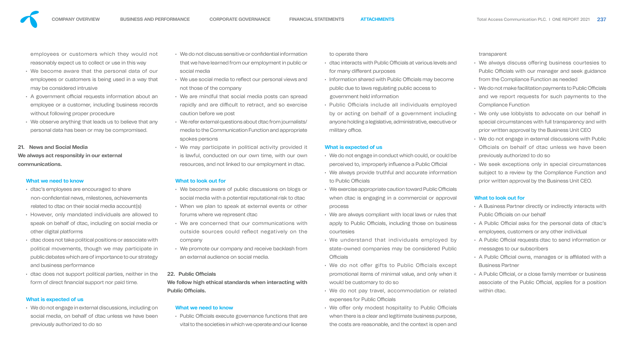| nation | to operate there |  |
|--------|------------------|--|
|        |                  |  |

employees or customers which they would not reasonably expect us to collect or use in this way

- dtac's employees are encouraged to share non-confidential news, milestones, achievements related to dtac on their social media account(s)
- However, only mandated individuals are allowed to speak on behalf of dtac, including on social media or other digital platforms
- dtac does not take political positions or associate with political movements, though we may participate in public debates which are of importance to our strategy and business performance
- dtac does not support political parties, neither in the form of direct financial support nor paid time.
- We become aware that the personal data of our employees or customers is being used in a way that may be considered intrusive
- A government official requests information about an employee or a customer, including business records without following proper procedure
- We observe anything that leads us to believe that any personal data has been or may be compromised.

### **21. News and Social Media**

**We always act responsibly in our external communications.**

## **What we need to know**

- We do not discuss sensitive or confidential inform that we have learned from our employment in public or social media to operate there  $\cdot$  dtac interacts with Public Officials at various levels and for many different purposes
- We use social media to reflect our personal views and not those of the company • Information shared with Public Officials may become public due to laws regulating public access to government held information
- We are mindful that social media posts can spread rapidly and are difficult to retract, and so exercise caution before we post media to the Communication Function and appropriate • Public Officials include all individuals employed by or acting on behalf of a government including anyone holding a legislative, administrative, executive or military office.
- We refer external questions about dtac from journalists/ spokes persons
- We may participate in political activity provided it is lawful, conducted on our own time, with our own resources, and not linked to our employment in dtac.

### **What is expected of us**

• We do not engage in external discussions, including on social media, on behalf of dtac unless we have been previously authorized to do so

- We do not engage in conduct which could, or could be perceived to, improperly influence a Public Official
	- We always provide truthful and accurate information to Public Officials
- $\cdot$  We exercise appropriate caution toward Public Officials when dtac is engaging in a commercial or approval process
	- We are always compliant with local laws or rules that apply to Public Officials, including those on business courtesies
- We understand that individuals employed by state-owned companies may be considered Public **Officials** 
	- We do not offer gifts to Public Officials except promotional items of minimal value, and only when it would be customary to do so
	- We do not pay travel, accommodation or related expenses for Public Officials

• Public Officials execute governance functions that are vital to the societies in which we operate and our license • We offer only modest hospitality to Public Officials when there is a clear and legitimate business purpose, the costs are reasonable, and the context is open and



### **What to look out for**

- We become aware of public discussions on blogs or social media with a potential reputational risk to dtac
- When we plan to speak at external events or other forums where we represent dtac
- We are concerned that our communications with outside sources could reflect negatively on the company
- We promote our company and receive backlash from an external audience on social media.
- We always discuss offering business courtesies to Public Officials with our manager and seek guidance from the Compliance Function as needed
- $\cdot$  We do not make facilitation payments to Public Officials and we report requests for such payments to the Compliance Function
- We only use lobbyists to advocate on our behalf in special circumstances with full transparency and with prior written approval by the Business Unit CEO
- We do not engage in external discussions with Public Officials on behalf of dtac unless we have been previously authorized to do so
- We seek exceptions only in special circumstances subject to a review by the Compliance Function and prior written approval by the Business Unit CEO.

### **22. Public Officials**

**We follow high ethical standards when interacting with Public Officials.** 

#### **What we need to know**

### **What is expected of us**

transparent

- A Business Partner directly or indirectly interacts with Public Officials on our behalf
- A Public Official asks for the personal data of dtac's employees, customers or any other individual
- A Public Official requests dtac to send information or messages to our subscribers
- A Public Official owns, manages or is affiliated with a Business Partner
- A Public Official, or a close family member or business associate of the Public Official, applies for a position within dtac.



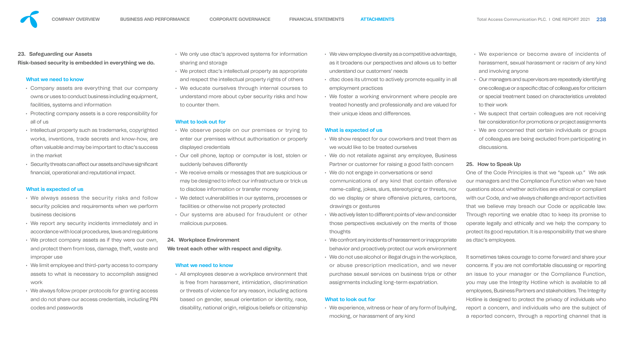#### **23. Safeguarding our Assets**

**Risk-based security is embedded in everything we do.**

#### **What we need to know**

- Company assets are everything that our company owns or uses to conduct business including equipment, facilities, systems and information
- Protecting company assets is a core responsibility for all of us
- Intellectual property such as trademarks, copyrighted works, inventions, trade secrets and know-how, are often valuable and may be important to dtac's success in the market
- $\cdot$  Security threats can affect our assets and have significant nancial, operational and reputational impact.

#### **What is expected of us**

- $\cdot$  We only use dtac's approved systems for information sharing and storage
- $\cdot$  We protect dtac's intellectual property as approximate and respect the intellectual property rights of other
- We educate ourselves through internal courselves to the total course to the educate oursely understand more about cyber security risks and to counter them.

- We always assess the security risks and follow security policies and requirements when we perform business decisions
- We report any security incidents immediately and in accordance with local procedures, laws and regulations
- We protect company assets as if they were our own, and protect them from loss, damage, theft, waste and improper use
- We limit employee and third-party access to company assets to what is necessary to accomplish assigned work
- We always follow proper protocols for granting access and do not share our access credentials, including PIN codes and passwords
- We observe people on our premises or tr enter our premises without authorisation or properly displayed credentials
- Our cell phone, laptop or computer is lost, stollen suddenly behaves differently
- We receive emails or messages that are suspice may be designed to infect our infrastructure or to disclose information or transfer money
- We detect vulnerabilities in our systems, proce facilities or otherwise not properly protected
- Our systems are abused for fraudulent of malicious purposes.

• All employees deserve a workplace environment is free from harassment, intimidation, discriming or threats of violence for any reason, including actions based on gender, sexual orientation or identity, race, disability, national origin, religious beliefs or citizenship

#### **What to look out for**

#### **24. Workplace Environment**

**We treat each other with respect and dignity.**

#### **What we need to know**

| rmation         | • We view employee diversity as a competitive advantage,<br>as it broadens our perspectives and allows us to better |
|-----------------|---------------------------------------------------------------------------------------------------------------------|
| ropriate        | understand our customers' needs                                                                                     |
| others          | • dtac does its utmost to actively promote equality in all                                                          |
| <b>irses</b> to | employment practices                                                                                                |
| ind how         | • We foster a working environment where people are                                                                  |
|                 | treated honestly and professionally and are valued for                                                              |
|                 | their unique ideas and differences.                                                                                 |
| ying to         | What is expected of us                                                                                              |
| properly        | • We show respect for our coworkers and treat them as                                                               |
|                 | we would like to be treated ourselves                                                                               |
| tolen or        | • We do not retaliate against any employee, Business                                                                |
|                 | Partner or customer for raising a good faith concern                                                                |
| cious or        | • We do not engage in conversations or send                                                                         |
| trick us        | communications of any kind that contain offensive                                                                   |
|                 | name-calling, jokes, slurs, stereotyping or threats, nor                                                            |
| <b>SSES Or</b>  | do we display or share offensive pictures, cartoons,                                                                |
|                 | drawings or gestures                                                                                                |
| r other         | • We actively listen to different points of view and consider                                                       |
|                 | those perspectives exclusively on the merits of those                                                               |
|                 | thoughts                                                                                                            |
|                 | • We confront any incidents of harassment or inappropriate                                                          |
|                 | behavior and proactively protect our work environment                                                               |
|                 | • We do not use alcohol or illegal drugs in the workplace,                                                          |
|                 | or abuse prescription medication, and we never                                                                      |
| ent that        | purchase sexual services on business trips or other                                                                 |
| nination        | assignments including long-term expatriation.                                                                       |
|                 |                                                                                                                     |

#### **What to look out for**

• We experience, witness or hear of any form of bullying, mocking, or harassment of any kind

- We experience or become aware of incidents of harassment, sexual harassment or racism of any kind and involving anyone
- Our managers and supervisors are repeatedly identifying one colleague or a specific dtac of colleagues for criticism or special treatment based on characteristics unrelated to their work
- We suspect that certain colleagues are not receiving fair consideration for promotions or project assignments
- We are concerned that certain individuals or groups of colleagues are being excluded from participating in discussions.

#### **25. How to Speak Up**

One of the Code Principles is that we "speak up." We ask our managers and the Compliance Function when we have questions about whether activities are ethical or compliant with our Code, and we always challenge and report activities that we believe may breach our Code or applicable law. Through reporting we enable dtac to keep its promise to operate legally and ethically and we help the company to protect its good reputation. It is a responsibility that we share as dtac's employees.

It sometimes takes courage to come forward and share your concerns. If you are not comfortable discussing or reporting an issue to your manager or the Compliance Function, you may use the Integrity Hotline which is available to all employees, Business Partners and stakeholders. The Integrity Hotline is designed to protect the privacy of individuals who report a concern, and individuals who are the subject of a reported concern, through a reporting channel that is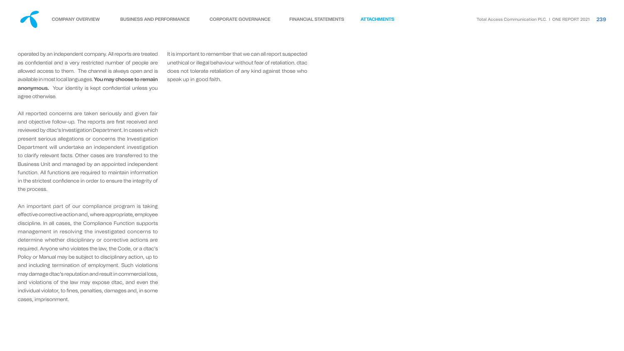



operated by an independent company. All reports are treated as confidential and a very restricted number of people are allowed access to them. The channel is always open and is available in most local languages. **You may choose to remain**  anonymous. Your identity is kept confidential unless you agree otherwise.

All reported concerns are taken seriously and given fair and objective follow-up. The reports are first received and reviewed by dtac's Investigation Department. In cases which present serious allegations or concerns the Investigation Department will undertake an independent investigation to clarify relevant facts. Other cases are transferred to the Business Unit and managed by an appointed independent function. All functions are required to maintain information in the strictest confidence in order to ensure the integrity of the process.

An important part of our compliance program is taking effective corrective action and, where appropriate, employee discipline. In all cases, the Compliance Function supports management in resolving the investigated concerns to determine whether disciplinary or corrective actions are required. Anyone who violates the law, the Code, or a dtac's Policy or Manual may be subject to disciplinary action, up to and including termination of employment. Such violations may damage dtac's reputation and result in commercial loss, and violations of the law may expose dtac, and even the individual violator, to fines, penalties, damages and, in some cases, imprisonment.

It is important to remember that we can all report suspected unethical or illegal behaviour without fear of retaliation. dtac does not tolerate retaliation of any kind against those who speak up in good faith.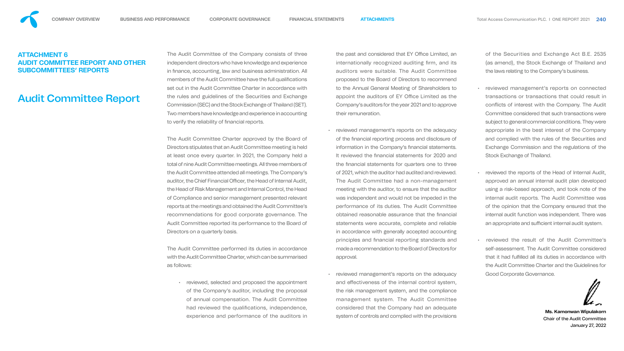The Audit Committee of the Company consists of three independent directors who have knowledge and experience in finance, accounting, law and business administration. All members of the Audit Committee have the full qualifications set out in the Audit Committee Charter in accordance with the rules and guidelines of the Securities and Exchange Commission (SEC) and the Stock Exchange of Thailand (SET). Two members have knowledge and experience in accounting to verify the reliability of financial reports.

reviewed, selected and proposed the appointment of the Company's auditor, including the proposal of annual compensation. The Audit Committee had reviewed the qualifications, independence, experience and performance of the auditors in

The Audit Committee Charter approved by the Board of Directors stipulates that an Audit Committee meeting is held at least once every quarter. In 2021, the Company held a total of nine Audit Committee meetings. All three members of the Audit Committee attended all meetings. The Company's auditor, the Chief Financial Officer, the Head of Internal Audit, the Head of Risk Management and Internal Control, the Head of Compliance and senior management presented relevant reports at the meetings and obtained the Audit Committee's recommendations for good corporate governance. The Audit Committee reported its performance to the Board of Directors on a quarterly basis.

the past and considered that EY Office Limited, an internationally recognized auditing firm, and its auditors were suitable. The Audit Committee proposed to the Board of Directors to recommend to the Annual General Meeting of Shareholders to appoint the auditors of EY Office Limited as the Company's auditors for the year 2021 and to approve their remuneration.

The Audit Committee performed its duties in accordance with the Audit Committee Charter, which can be summarised as follows:

reviewed management's reports on the adequacy of the nancial reporting process and disclosure of information in the Company's financial statements. It reviewed the financial statements for 2020 and the financial statements for quarters one to three of 2021, which the auditor had audited and reviewed. The Audit Committee had a non-management meeting with the auditor, to ensure that the auditor was independent and would not be impeded in the performance of its duties. The Audit Committee obtained reasonable assurance that the financial statements were accurate, complete and reliable in accordance with generally accepted accounting principles and financial reporting standards and made a recommendation to the Board of Directors for approval.

- reviewed management's reports on connected transactions or transactions that could result in conflicts of interest with the Company. The Audit Committee considered that such transactions were subject to general commercial conditions. They were appropriate in the best interest of the Company and complied with the rules of the Securities and Exchange Commission and the regulations of the Stock Exchange of Thailand.
- reviewed the reports of the Head of Internal Audit, approved an annual internal audit plan developed using a risk-based approach, and took note of the internal audit reports. The Audit Committee was of the opinion that the Company ensured that the internal audit function was independent. There was an appropriate and sufficient internal audit system.
- reviewed the result of the Audit Committee's self-assessment. The Audit Committee considered that it had fulfilled all its duties in accordance with the Audit Committee Charter and the Guidelines for Good Corporate Governance.

• reviewed management's reports on the adequacy and effectiveness of the internal control system, the risk management system, and the compliance management system. The Audit Committee considered that the Company had an adequate system of controls and complied with the provisions

of the Securities and Exchange Act B.E. 2535 (as amend), the Stock Exchange of Thailand and the laws relating to the Company's business.

> **Ms. Kamonwan Wipulakorn** Chair of the Audit Committee



# <span id="page-47-0"></span>**ATTACHMENT 6 AUDIT COMMITTEE REPORT AND OTHER SUBCOMMITTEES' REPORTS**

# Audit Committee Report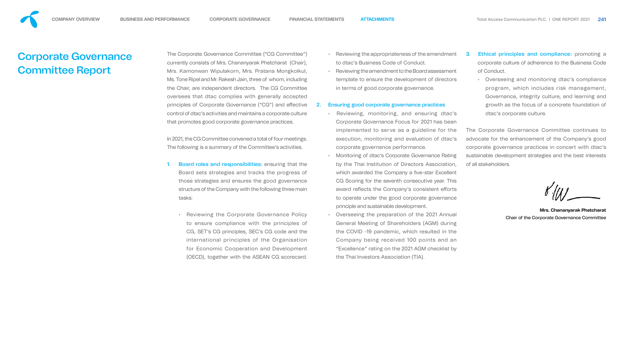- 
- 
- 
- 
- 
- 
- 
- 
- 
- 

The Corporate Governance Committee ("CG Committee") currently consists of Mrs. Chananyarak Phetcharat (Chair), Mrs. Kamonwan Wipulakorn, Mrs. Pratana Mongkolkul, Ms. Tone Ripel and Mr. Rakesh Jain, three of whom, including the Chair, are independent directors. The CG Committee oversees that dtac complies with generally accepted principles of Corporate Governance ("CG") and effective control of dtac's activities and maintains a corporate culture that promotes good corporate governance practices.

In 2021, the CG Committee convened a total of four meetings. The following is a summary of the Committee's activities.

- 1. Board roles and responsibilities: ensuring that the Board sets strategies and tracks the progress of those strategies and ensures the good governance structure of the Company with the following three main tasks:
	- Reviewing the Corporate Governance Policy to ensure compliance with the principles of CG, SET's CG principles, SEC's CG code and the international principles of the Organisation for Economic Cooperation and Development (OECD), together with the ASEAN CG scorecard. • Overseeing the preparation of the 2021 Annual General Meeting of Shareholders (AGM) during the COVID -19 pandemic, which resulted in the Company being received 100 points and an "Excellence" rating on the 2021 AGM checklist by the Thai Investors Association (TIA).
- 3. Ethical principles and compliance: promoting a corporate culture of adherence to the Business Code of Conduct.
	- Overseeing and monitoring dtac's compliance program, which includes risk management, Governance, integrity culture, and learning and growth as the focus of a concrete foundation of dtac's corporate culture.
- Reviewing the appropriateness of the amendment to dtac's Business Code of Conduct.
- Reviewing the amendment to the Board assessment template to ensure the development of directors in terms of good corporate governance.

#### 2. Ensuring good corporate governance practices

- Reviewing, monitoring, and ensuring dtac's Corporate Governance Focus for 2021 has been implemented to serve as a guideline for the execution, monitoring and evaluation of dtac's corporate governance performance.
- Monitoring of dtac's Corporate Governance Rating by the Thai Institution of Directors Association, which awarded the Company a five-star Excellent CG Scoring for the seventh consecutive year. This award reflects the Company's consistent efforts to operate under the good corporate governance principle and sustainable development.

The Corporate Governance Committee continues to advocate for the enhancement of the Company's good corporate governance practices in concert with dtac's sustainable development strategies and the best interests of all stakeholders.

**Mrs. Chananyarak Phetcharat** Chair of the Corporate Governance Committee



# Corporate Governance Committee Report